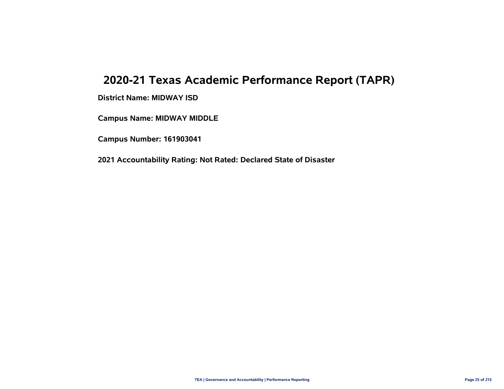# **2020-21 Texas Academic Performance Report (TAPR)**

**District Name: MIDWAY ISD**

**Campus Name: MIDWAY MIDDLE**

**Campus Number: 161903041**

**2021 Accountability Rating: Not Rated: Declared State of Disaster**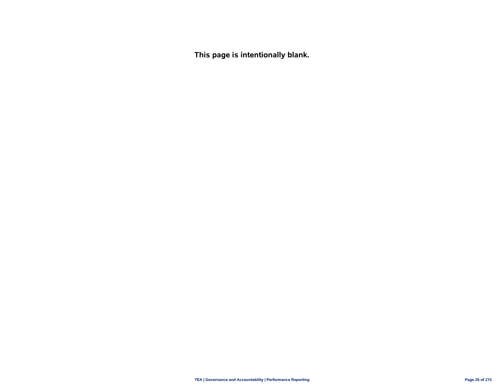**This page is intentionally blank.**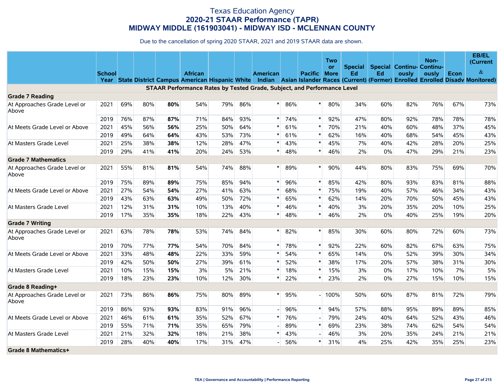|                                       |               |     |     |     |                                                                         |     |     |                 |     |         | Two         |                |     |       | Non-                             |      | EB/EL<br>(Current                                                                                                                     |
|---------------------------------------|---------------|-----|-----|-----|-------------------------------------------------------------------------|-----|-----|-----------------|-----|---------|-------------|----------------|-----|-------|----------------------------------|------|---------------------------------------------------------------------------------------------------------------------------------------|
|                                       |               |     |     |     |                                                                         |     |     |                 |     |         | <b>or</b>   | <b>Special</b> |     |       | <b>Special Continu- Continu-</b> |      | $\&$                                                                                                                                  |
|                                       | <b>School</b> |     |     |     | <b>African</b>                                                          |     |     | <b>American</b> |     | Pacific | <b>More</b> | Ed             | Ed  | ously | ously                            | Econ | Year State District Campus American Hispanic White Indian Asian Islander Races (Current) (Former) Enrolled Enrolled Disady Monitored) |
|                                       |               |     |     |     | STAAR Performance Rates by Tested Grade, Subject, and Performance Level |     |     |                 |     |         |             |                |     |       |                                  |      |                                                                                                                                       |
| <b>Grade 7 Reading</b>                |               |     |     |     |                                                                         |     |     |                 |     |         |             |                |     |       |                                  |      |                                                                                                                                       |
| At Approaches Grade Level or<br>Above | 2021          | 69% | 80% | 80% | 54%                                                                     | 79% | 86% | $\ast$          | 86% |         | 80%         | 34%            | 60% | 82%   | 76%                              | 67%  | 73%                                                                                                                                   |
|                                       | 2019          | 76% | 87% | 87% | 71%                                                                     | 84% | 93% | $\ast$          | 74% | $\ast$  | 92%         | 47%            | 80% | 92%   | 78%                              | 78%  | 78%                                                                                                                                   |
| At Meets Grade Level or Above         | 2021          | 45% | 56% | 56% | 25%                                                                     | 50% | 64% | $\ast$          | 61% | $\ast$  | 70%         | 21%            | 40% | 60%   | 48%                              | 37%  | 45%                                                                                                                                   |
|                                       | 2019          | 49% | 64% | 64% | 43%                                                                     | 53% | 73% | ∗               | 61% | $\ast$  | 62%         | 16%            | 40% | 68%   | 54%                              | 45%  | 43%                                                                                                                                   |
| At Masters Grade Level                | 2021          | 25% | 38% | 38% | 12%                                                                     | 28% | 47% | $\ast$          | 43% | $\ast$  | 45%         | 7%             | 40% | 42%   | 28%                              | 20%  | 25%                                                                                                                                   |
|                                       | 2019          | 29% | 41% | 41% | 20%                                                                     | 24% | 53% | $\ast$          | 48% | $\ast$  | 46%         | 2%             | 0%  | 47%   | 29%                              | 21%  | 23%                                                                                                                                   |
| <b>Grade 7 Mathematics</b>            |               |     |     |     |                                                                         |     |     |                 |     |         |             |                |     |       |                                  |      |                                                                                                                                       |
| At Approaches Grade Level or<br>Above | 2021          | 55% | 81% | 81% | 54%                                                                     | 74% | 88% | $\ast$          | 89% | $\ast$  | 90%         | 44%            | 80% | 83%   | 75%                              | 69%  | 70%                                                                                                                                   |
|                                       | 2019          | 75% | 89% | 89% | 75%                                                                     | 85% | 94% | $\ast$          | 96% | $\ast$  | 85%         | 42%            | 80% | 93%   | 83%                              | 81%  | 88%                                                                                                                                   |
| At Meets Grade Level or Above         | 2021          | 27% | 54% | 54% | 27%                                                                     | 41% | 63% | $\ast$          | 68% | $\ast$  | 75%         | 19%            | 40% | 57%   | 46%                              | 34%  | 43%                                                                                                                                   |
|                                       | 2019          | 43% | 63% | 63% | 49%                                                                     | 50% | 72% | $\ast$          | 65% | $\ast$  | 62%         | 14%            | 20% | 70%   | 50%                              | 45%  | 43%                                                                                                                                   |
| At Masters Grade Level                | 2021          | 12% | 31% | 31% | 10%                                                                     | 13% | 40% | $\ast$          | 46% | $\ast$  | 40%         | 3%             | 20% | 35%   | 20%                              | 10%  | 25%                                                                                                                                   |
|                                       | 2019          | 17% | 35% | 35% | 18%                                                                     | 22% | 43% | *               | 48% | $\ast$  | 46%         | 2%             | 0%  | 40%   | 25%                              | 19%  | 20%                                                                                                                                   |
| <b>Grade 7 Writing</b>                |               |     |     |     |                                                                         |     |     |                 |     |         |             |                |     |       |                                  |      |                                                                                                                                       |
| At Approaches Grade Level or<br>Above | 2021          | 63% | 78% | 78% | 53%                                                                     | 74% | 84% | $\ast$          | 82% | $\ast$  | 85%         | 30%            | 60% | 80%   | 72%                              | 60%  | 73%                                                                                                                                   |
|                                       | 2019          | 70% | 77% | 77% | 54%                                                                     | 70% | 84% | $\ast$          | 78% | $\ast$  | 92%         | 22%            | 60% | 82%   | 67%                              | 63%  | 75%                                                                                                                                   |
| At Meets Grade Level or Above         | 2021          | 33% | 48% | 48% | 22%                                                                     | 33% | 59% |                 | 54% | $\ast$  | 65%         | 14%            | 0%  | 52%   | 39%                              | 30%  | 34%                                                                                                                                   |
|                                       | 2019          | 42% | 50% | 50% | 27%                                                                     | 39% | 61% |                 | 52% | $\ast$  | 38%         | 17%            | 20% | 57%   | 38%                              | 31%  | 30%                                                                                                                                   |
| At Masters Grade Level                | 2021          | 10% | 15% | 15% | 3%                                                                      | 5%  | 21% |                 | 18% | $\ast$  | 15%         | 3%             | 0%  | 17%   | 10%                              | 7%   | 5%                                                                                                                                    |
|                                       | 2019          | 18% | 23% | 23% | 10%                                                                     | 12% | 30% | ∗               | 22% | $\ast$  | 23%         | 2%             | 0%  | 27%   | 15%                              | 10%  | 15%                                                                                                                                   |
| Grade 8 Reading+                      |               |     |     |     |                                                                         |     |     |                 |     |         |             |                |     |       |                                  |      |                                                                                                                                       |
| At Approaches Grade Level or<br>Above | 2021          | 73% | 86% | 86% | 75%                                                                     | 80% | 89% | $\ast$          | 95% |         | $-100%$     | 50%            | 60% | 87%   | 81%                              | 72%  | 79%                                                                                                                                   |
|                                       | 2019          | 86% | 93% | 93% | 83%                                                                     | 91% | 96% |                 | 96% | $\ast$  | 94%         | 57%            | 88% | 95%   | 89%                              | 89%  | 85%                                                                                                                                   |
| At Meets Grade Level or Above         | 2021          | 46% | 61% | 61% | 35%                                                                     | 52% | 67% | $\ast$          | 76% |         | 79%         | 24%            | 40% | 64%   | 52%                              | 43%  | 46%                                                                                                                                   |
|                                       | 2019          | 55% | 71% | 71% | 35%                                                                     | 65% | 79% |                 | 89% | $\ast$  | 69%         | 23%            | 38% | 74%   | 62%                              | 54%  | 54%                                                                                                                                   |
| At Masters Grade Level                | 2021          | 21% | 32% | 32% | 18%                                                                     | 21% | 38% |                 | 43% |         | 46%         | 3%             | 20% | 35%   | 24%                              | 21%  | 21%                                                                                                                                   |
|                                       | 2019          | 28% | 40% | 40% | 17%                                                                     | 31% | 47% |                 | 56% |         | 31%         | 4%             | 25% | 42%   | 35%                              | 25%  | 23%                                                                                                                                   |
| Grade 8 Mathematics+                  |               |     |     |     |                                                                         |     |     |                 |     |         |             |                |     |       |                                  |      |                                                                                                                                       |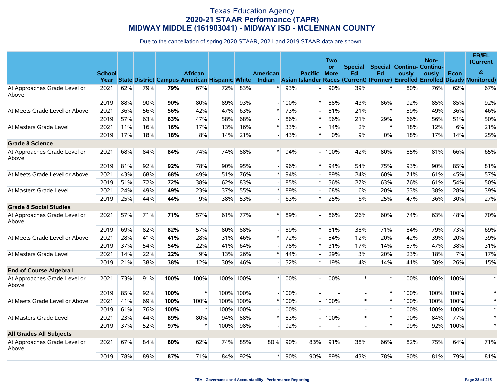|                                       |               |     |     |      |                                               |      |           |                          |          |                          | Two                      |                |                                         |       | Non-  |      | EB/EL<br>(Current                                                                  |
|---------------------------------------|---------------|-----|-----|------|-----------------------------------------------|------|-----------|--------------------------|----------|--------------------------|--------------------------|----------------|-----------------------------------------|-------|-------|------|------------------------------------------------------------------------------------|
|                                       | <b>School</b> |     |     |      | <b>African</b>                                |      |           | <b>American</b>          |          | <b>Pacific</b>           | <b>or</b><br><b>More</b> | <b>Ed</b>      | Special Special Continu- Continu-<br>Ed | ously | ously | Econ | $\&$                                                                               |
|                                       | Year          |     |     |      | State District Campus American Hispanic White |      |           |                          |          |                          |                          |                |                                         |       |       |      | Indian Asian Islander Races (Current) (Former) Enrolled Enrolled Disady Monitored) |
| At Approaches Grade Level or<br>Above | 2021          | 62% | 79% | 79%  | 67%                                           | 72%  | 83%       | $\pmb{\ast}$             | 93%      |                          | 90%                      | 39%            |                                         | 80%   | 76%   | 62%  | 67%                                                                                |
|                                       | 2019          | 88% | 90% | 90%  | 80%                                           | 89%  | 93%       |                          | $-100%$  | $\ast$                   | 88%                      | 43%            | 86%                                     | 92%   | 85%   | 85%  | 92%                                                                                |
| At Meets Grade Level or Above         | 2021          | 36% | 56% | 56%  | 42%                                           | 47%  | 63%       | $\ast$                   | 73%      |                          | 81%                      | 21%            | $\ast$                                  | 59%   | 49%   | 36%  | 46%                                                                                |
|                                       | 2019          | 57% | 63% | 63%  | 47%                                           | 58%  | 68%       |                          | 86%      | $\ast$                   | 56%                      | 21%            | 29%                                     | 66%   | 56%   | 51%  | 50%                                                                                |
| At Masters Grade Level                | 2021          | 11% | 16% | 16%  | 17%                                           | 13%  | 16%       |                          | 33%      |                          | 14%                      | 2%             | $\ast$                                  | 18%   | 12%   | 6%   | 21%                                                                                |
|                                       | 2019          | 17% | 18% | 18%  | 8%                                            | 14%  | 21%       |                          | 43%      | $\ast$                   | 0%                       | 9%             | 0%                                      | 18%   | 17%   | 14%  | 25%                                                                                |
| <b>Grade 8 Science</b>                |               |     |     |      |                                               |      |           |                          |          |                          |                          |                |                                         |       |       |      |                                                                                    |
| At Approaches Grade Level or<br>Above | 2021          | 68% | 84% | 84%  | 74%                                           | 74%  | 88%       | $\ast$                   | 94%      |                          | 100%                     | 42%            | 80%                                     | 85%   | 81%   | 66%  | 65%                                                                                |
|                                       | 2019          | 81% | 92% | 92%  | 78%                                           | 90%  | 95%       |                          | 96%      | $\ast$                   | 94%                      | 54%            | 75%                                     | 93%   | 90%   | 85%  | 81%                                                                                |
| At Meets Grade Level or Above         | 2021          | 43% | 68% | 68%  | 49%                                           | 51%  | 76%       | $\ast$                   | 94%      |                          | 89%                      | 24%            | 60%                                     | 71%   | 61%   | 45%  | 57%                                                                                |
|                                       | 2019          | 51% | 72% | 72%  | 38%                                           | 62%  | 83%       |                          | 85%      | $\ast$                   | 56%                      | 27%            | 63%                                     | 76%   | 61%   | 54%  | 50%                                                                                |
| At Masters Grade Level                | 2021          | 24% | 49% | 49%  | 23%                                           | 37%  | 55%       | $\ast$                   | 89%      |                          | 68%                      | 6%             | 20%                                     | 53%   | 38%   | 28%  | 39%                                                                                |
|                                       | 2019          | 25% | 44% | 44%  | 9%                                            | 38%  | 53%       |                          | 63%      | $\ast$                   | 25%                      | 6%             | 25%                                     | 47%   | 36%   | 30%  | 27%                                                                                |
| <b>Grade 8 Social Studies</b>         |               |     |     |      |                                               |      |           |                          |          |                          |                          |                |                                         |       |       |      |                                                                                    |
| At Approaches Grade Level or<br>Above | 2021          | 57% | 71% | 71%  | 57%                                           | 61%  | 77%       | $\ast$                   | 89%      |                          | 86%                      | 26%            | 60%                                     | 74%   | 63%   | 48%  | 70%                                                                                |
|                                       | 2019          | 69% | 82% | 82%  | 57%                                           | 80%  | 88%       | $\overline{\phantom{a}}$ | 89%      | $\ast$                   | 81%                      | 38%            | 71%                                     | 84%   | 79%   | 73%  | 69%                                                                                |
| At Meets Grade Level or Above         | 2021          | 28% | 41% | 41%  | 28%                                           | 31%  | 46%       | $\ast$                   | 72%      |                          | 54%                      | 12%            | 20%                                     | 42%   | 39%   | 20%  | 39%                                                                                |
|                                       | 2019          | 37% | 54% | 54%  | 22%                                           | 41%  | 64%       |                          | 78%      | $\ast$                   | 31%                      | 17%            | 14%                                     | 57%   | 47%   | 38%  | 31%                                                                                |
| At Masters Grade Level                | 2021          | 14% | 22% | 22%  | 9%                                            | 13%  | 26%       | $\ast$                   | 44%      |                          | 29%                      | 3%             | 20%                                     | 23%   | 18%   | 7%   | 17%                                                                                |
|                                       | 2019          | 21% | 38% | 38%  | 12%                                           | 30%  | 46%       |                          | 52%      | $\ast$                   | 19%                      | 4%             | 14%                                     | 41%   | 30%   | 26%  | 15%                                                                                |
| <b>End of Course Algebra I</b>        |               |     |     |      |                                               |      |           |                          |          |                          |                          |                |                                         |       |       |      |                                                                                    |
| At Approaches Grade Level or<br>Above | 2021          | 73% | 91% | 100% | 100%                                          |      | 100% 100% |                          | $*100\%$ |                          | 100%                     | $\ast$         | $\ast$                                  | 100%  | 100%  | 100% | $\ast$                                                                             |
|                                       | 2019          | 85% | 92% | 100% | $\ast$                                        |      | 100% 100% |                          | $-100%$  | $\overline{a}$           | $\overline{a}$           | $\overline{a}$ | $\ast$                                  | 100%  | 100%  | 100% | $\ast$                                                                             |
| At Meets Grade Level or Above         | 2021          | 41% | 69% | 100% | 100%                                          |      | 100% 100% |                          | $*100%$  | - 1                      | 100%                     | $\ast$         | $\ast$                                  | 100%  | 100%  | 100% | $\ast$                                                                             |
|                                       | 2019          | 61% | 76% | 100% | $\ast$                                        |      | 100% 100% |                          | $-100%$  | $\overline{\phantom{a}}$ |                          | $\blacksquare$ | $\ast$                                  | 100%  | 100%  | 100% | $\ast$                                                                             |
| At Masters Grade Level                | 2021          | 23% | 44% | 89%  | 80%                                           | 94%  | 88%       |                          | 83%      |                          | 100%                     | $\ast$         | $\ast$                                  | 90%   | 84%   | 77%  | $\ast$                                                                             |
|                                       | 2019          | 37% | 52% | 97%  | $\ast$                                        | 100% | 98%       |                          | 92%      |                          |                          |                | $\ast$                                  | 99%   | 92%   | 100% | $\ast$                                                                             |
| <b>All Grades All Subjects</b>        |               |     |     |      |                                               |      |           |                          |          |                          |                          |                |                                         |       |       |      |                                                                                    |
| At Approaches Grade Level or<br>Above | 2021          | 67% | 84% | 80%  | 62%                                           | 74%  | 85%       | 80%                      | 90%      | 83%                      | 91%                      | 38%            | 66%                                     | 82%   | 75%   | 64%  | 71%                                                                                |
|                                       | 2019          | 78% | 89% | 87%  | 71%                                           | 84%  | 92%       | $\pmb{\ast}$             | 90%      | 90%                      | 89%                      | 43%            | 78%                                     | 90%   | 81%   | 79%  | 81%                                                                                |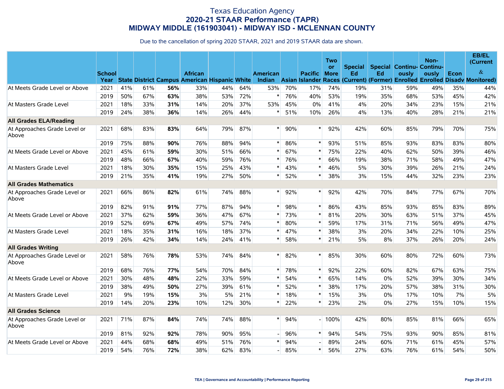|                                       |               |     |     |     |                                                                      |     |     |                           |     |                | Two<br>or   | Special |     | <b>Special Continu- Continu-</b> | Non-  |      | EB/EL<br>(Current                                                                   |
|---------------------------------------|---------------|-----|-----|-----|----------------------------------------------------------------------|-----|-----|---------------------------|-----|----------------|-------------|---------|-----|----------------------------------|-------|------|-------------------------------------------------------------------------------------|
|                                       | <b>School</b> |     |     |     | <b>African</b><br>Year State District Campus American Hispanic White |     |     | <b>American</b><br>Indian |     | <b>Pacific</b> | <b>More</b> | Ed      | Ed  | ously                            | ously | Econ | $\&$<br>Asian Islander Races (Current) (Former) Enrolled Enrolled Disady Monitored) |
| At Meets Grade Level or Above         | 2021          | 41% | 61% | 56% | 33%                                                                  | 44% | 64% | 53%                       | 70% | 17%            | 74%         | 19%     | 31% | 59%                              | 49%   | 35%  | 44%                                                                                 |
|                                       | 2019          | 50% | 67% | 63% | 38%                                                                  | 53% | 72% |                           | 76% | 40%            | 53%         | 19%     | 35% | 68%                              | 53%   | 45%  | 42%                                                                                 |
| At Masters Grade Level                | 2021          | 18% | 33% | 31% | 14%                                                                  | 20% | 37% | 53%                       | 45% | 0%             | 41%         | 4%      | 20% | 34%                              | 23%   | 15%  | 21%                                                                                 |
|                                       | 2019          | 24% | 38% | 36% | 14%                                                                  | 26% | 44% | $\ast$                    | 51% | 10%            | 26%         | 4%      | 13% | 40%                              | 28%   | 21%  | 21%                                                                                 |
| <b>All Grades ELA/Reading</b>         |               |     |     |     |                                                                      |     |     |                           |     |                |             |         |     |                                  |       |      |                                                                                     |
| At Approaches Grade Level or<br>Above | 2021          | 68% | 83% | 83% | 64%                                                                  | 79% | 87% | $\ast$                    | 90% | $\ast$         | 92%         | 42%     | 60% | 85%                              | 79%   | 70%  | 75%                                                                                 |
|                                       | 2019          | 75% | 88% | 90% | 76%                                                                  | 88% | 94% | $\ast$                    | 86% | $\ast$         | 93%         | 51%     | 85% | 93%                              | 83%   | 83%  | 80%                                                                                 |
| At Meets Grade Level or Above         | 2021          | 45% | 61% | 59% | 30%                                                                  | 51% | 66% |                           | 67% | $\ast$         | 75%         | 22%     | 40% | 62%                              | 50%   | 39%  | 46%                                                                                 |
|                                       | 2019          | 48% | 66% | 67% | 40%                                                                  | 59% | 76% |                           | 76% | $\ast$         | 66%         | 19%     | 38% | 71%                              | 58%   | 49%  | 47%                                                                                 |
| At Masters Grade Level                | 2021          | 18% | 30% | 35% | 15%                                                                  | 25% | 43% |                           | 43% | $\ast$         | 46%         | 5%      | 30% | 39%                              | 26%   | 21%  | 24%                                                                                 |
|                                       | 2019          | 21% | 35% | 41% | 19%                                                                  | 27% | 50% | $\ast$                    | 52% | $\ast$         | 38%         | 3%      | 15% | 44%                              | 32%   | 23%  | 23%                                                                                 |
| <b>All Grades Mathematics</b>         |               |     |     |     |                                                                      |     |     |                           |     |                |             |         |     |                                  |       |      |                                                                                     |
| At Approaches Grade Level or<br>Above | 2021          | 66% | 86% | 82% | 61%                                                                  | 74% | 88% | $\ast$                    | 92% | $\ast$         | 92%         | 42%     | 70% | 84%                              | 77%   | 67%  | 70%                                                                                 |
|                                       | 2019          | 82% | 91% | 91% | 77%                                                                  | 87% | 94% |                           | 98% | $\ast$         | 86%         | 43%     | 85% | 93%                              | 85%   | 83%  | 89%                                                                                 |
| At Meets Grade Level or Above         | 2021          | 37% | 62% | 59% | 36%                                                                  | 47% | 67% |                           | 73% | $\ast$         | 81%         | 20%     | 30% | 63%                              | 51%   | 37%  | 45%                                                                                 |
|                                       | 2019          | 52% | 69% | 67% | 49%                                                                  | 57% | 74% |                           | 80% | $\ast$         | 59%         | 17%     | 31% | 71%                              | 56%   | 49%  | 47%                                                                                 |
| At Masters Grade Level                | 2021          | 18% | 35% | 31% | 16%                                                                  | 18% | 37% |                           | 47% |                | 38%         | 3%      | 20% | 34%                              | 22%   | 10%  | 25%                                                                                 |
|                                       | 2019          | 26% | 42% | 34% | 14%                                                                  | 24% | 41% |                           | 58% | $\ast$         | 21%         | 5%      | 8%  | 37%                              | 26%   | 20%  | 24%                                                                                 |
| <b>All Grades Writing</b>             |               |     |     |     |                                                                      |     |     |                           |     |                |             |         |     |                                  |       |      |                                                                                     |
| At Approaches Grade Level or<br>Above | 2021          | 58% | 76% | 78% | 53%                                                                  | 74% | 84% | $\ast$                    | 82% | $\ast$         | 85%         | 30%     | 60% | 80%                              | 72%   | 60%  | 73%                                                                                 |
|                                       | 2019          | 68% | 76% | 77% | 54%                                                                  | 70% | 84% | $\ast$                    | 78% | $\ast$         | 92%         | 22%     | 60% | 82%                              | 67%   | 63%  | 75%                                                                                 |
| At Meets Grade Level or Above         | 2021          | 30% | 48% | 48% | 22%                                                                  | 33% | 59% | $\ast$                    | 54% | $\ast$         | 65%         | 14%     | 0%  | 52%                              | 39%   | 30%  | 34%                                                                                 |
|                                       | 2019          | 38% | 49% | 50% | 27%                                                                  | 39% | 61% | $\ast$                    | 52% | $\ast$         | 38%         | 17%     | 20% | 57%                              | 38%   | 31%  | 30%                                                                                 |
| At Masters Grade Level                | 2021          | 9%  | 19% | 15% | 3%                                                                   | 5%  | 21% | $\ast$                    | 18% | $\ast$         | 15%         | 3%      | 0%  | 17%                              | 10%   | 7%   | 5%                                                                                  |
|                                       | 2019          | 14% | 20% | 23% | 10%                                                                  | 12% | 30% | $\ast$                    | 22% | $\ast$         | 23%         | 2%      | 0%  | 27%                              | 15%   | 10%  | 15%                                                                                 |
| <b>All Grades Science</b>             |               |     |     |     |                                                                      |     |     |                           |     |                |             |         |     |                                  |       |      |                                                                                     |
| At Approaches Grade Level or<br>Above | 2021          | 71% | 87% | 84% | 74%                                                                  | 74% | 88% | $\ast$                    | 94% |                | 100%        | 42%     | 80% | 85%                              | 81%   | 66%  | 65%                                                                                 |
|                                       | 2019          | 81% | 92% | 92% | 78%                                                                  | 90% | 95% |                           | 96% | $\ast$         | 94%         | 54%     | 75% | 93%                              | 90%   | 85%  | 81%                                                                                 |
| At Meets Grade Level or Above         | 2021          | 44% | 68% | 68% | 49%                                                                  | 51% | 76% |                           | 94% |                | 89%         | 24%     | 60% | 71%                              | 61%   | 45%  | 57%                                                                                 |
|                                       | 2019          | 54% | 76% | 72% | 38%                                                                  | 62% | 83% |                           | 85% | $\ast$         | 56%         | 27%     | 63% | 76%                              | 61%   | 54%  | 50%                                                                                 |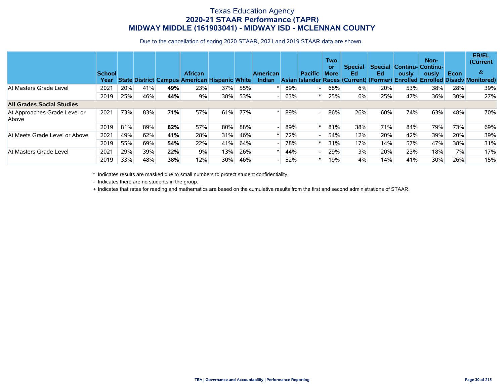Due to the cancellation of spring 2020 STAAR, 2021 and 2019 STAAR data are shown.

|                                       | <b>School</b><br>Year |     |     |            | <b>African</b><br><b>State District Campus American Hispanic White</b> |     |     | American<br><b>Indian</b> |     | <b>Pacific</b> | <b>Two</b><br>or<br><b>More</b> | <b>Special</b><br>Ed | <b>Special</b><br>Ed | <b>Continu-Continu-</b><br>ously | Non-<br>ously | Econ | <b>EB/EL</b><br>(Current)<br>$\alpha$<br>Asian Islander Races (Current) (Former) Enrolled Enrolled Disady Monitored) |
|---------------------------------------|-----------------------|-----|-----|------------|------------------------------------------------------------------------|-----|-----|---------------------------|-----|----------------|---------------------------------|----------------------|----------------------|----------------------------------|---------------|------|----------------------------------------------------------------------------------------------------------------------|
| At Masters Grade Level                | 2021                  | 20% | 41% | 49%        | 23%                                                                    | 37% | 55% |                           | 89% |                | 68%                             | 6%                   | 20%                  | 53%                              | 38%           | 28%  | 39%                                                                                                                  |
|                                       | 2019                  | 25% | 46% | 44%        | 9%                                                                     | 38% | 53% | $\overline{\phantom{0}}$  | 63% |                | 25%                             | 6%                   | 25%                  | 47%                              | 36%           | 30%  | 27%                                                                                                                  |
| <b>All Grades Social Studies</b>      |                       |     |     |            |                                                                        |     |     |                           |     |                |                                 |                      |                      |                                  |               |      |                                                                                                                      |
| At Approaches Grade Level or<br>Above | 2021                  | 73% | 83% | <b>71%</b> | 57%                                                                    | 61% | 77% | $\ast$                    | 89% |                | 86%                             | 26%                  | 60%                  | 74%                              | 63%           | 48%  | 70%                                                                                                                  |
|                                       | 2019                  | 81% | 89% | 82%        | 57%                                                                    | 80% | 88% |                           | 89% |                | 81%                             | 38%                  | 71%                  | 84%                              | 79%           | 73%  | 69%                                                                                                                  |
| At Meets Grade Level or Above         | 2021                  | 49% | 62% | 41%        | 28%                                                                    | 31% | 46% |                           | 72% |                | 54%                             | 12%                  | 20%                  | 42%                              | 39%           | 20%  | 39%                                                                                                                  |
|                                       | 2019                  | 55% | 69% | 54%        | 22%                                                                    | 41% | 64% | $\overline{\phantom{a}}$  | 78% |                | 31%                             | 17%                  | 14%                  | 57%                              | 47%           | 38%  | 31%                                                                                                                  |
| At Masters Grade Level                | 2021                  | 29% | 39% | 22%        | 9%                                                                     | 13% | 26% |                           | 44% |                | 29%                             | 3%                   | 20%                  | 23%                              | 18%           | 7%   | 17%                                                                                                                  |
|                                       | 2019                  | 33% | 48% | 38%        | 12%                                                                    | 30% | 46% |                           | 52% |                | 19%                             | 4%                   | 14%                  | 41%                              | 30%           | 26%  | 15%                                                                                                                  |

\* Indicates results are masked due to small numbers to protect student confidentiality.

- Indicates there are no students in the group.

+ Indicates that rates for reading and mathematics are based on the cumulative results from the first and second administrations of STAAR.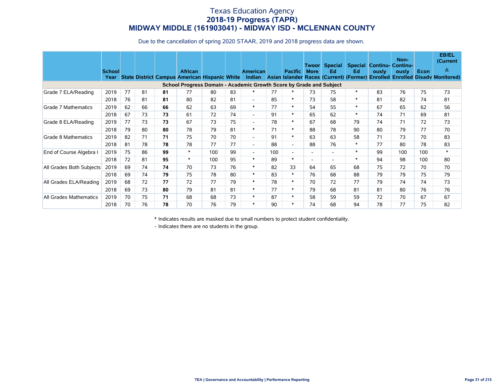Due to the cancellation of spring 2020 STAAR, 2019 and 2018 progress data are shown.

|                          | <b>School</b><br>Year |    |    |    | <b>African</b><br>State District Campus American Hispanic White     |     |    | <b>American</b>          |     | <b>Pacific</b>           | <b>Twoor</b><br><b>More</b> | Special<br>Ed | Ed.    | Special Continu- Continu-<br>ously | Non-<br>ously | Econ | <b>EB/EL</b><br>(Current<br>$\&$<br>Indian Asian Islander Races (Current) (Former) Enrolled Enrolled Disady Monitored) |
|--------------------------|-----------------------|----|----|----|---------------------------------------------------------------------|-----|----|--------------------------|-----|--------------------------|-----------------------------|---------------|--------|------------------------------------|---------------|------|------------------------------------------------------------------------------------------------------------------------|
|                          |                       |    |    |    | School Progress Domain - Academic Growth Score by Grade and Subject |     |    |                          |     |                          |                             |               |        |                                    |               |      |                                                                                                                        |
| Grade 7 ELA/Reading      | 2019                  | 77 | 81 | 81 | 77                                                                  | 80  | 83 | ∗                        | 77  |                          | 73                          | 75            | $\ast$ | 83                                 | 76            | 75   | 73                                                                                                                     |
|                          | 2018                  | 76 | 81 | 81 | 80                                                                  | 82  | 81 | $\overline{\phantom{a}}$ | 85  | $\ast$                   | 73                          | 58            | $\ast$ | 81                                 | 82            | 74   | 81                                                                                                                     |
| Grade 7 Mathematics      | 2019                  | 62 | 66 | 66 | 62                                                                  | 63  | 69 | $\ast$                   | 77  | $\ast$                   | 54                          | 55            | $\ast$ | 67                                 | 65            | 62   | 56                                                                                                                     |
|                          | 2018                  | 67 | 73 | 73 | 61                                                                  | 72  | 74 | $\overline{\phantom{a}}$ | 91  | $\ast$                   | 65                          | 62            | $\ast$ | 74                                 | 71            | 69   | 81                                                                                                                     |
| Grade 8 ELA/Reading      | 2019                  | 77 | 73 | 73 | 67                                                                  | 73  | 75 | $\overline{\phantom{a}}$ | 78  | $\ast$                   | 67                          | 68            | 79     | 74                                 | 71            | 72   | 73                                                                                                                     |
|                          | 2018                  | 79 | 80 | 80 | 78                                                                  | 79  | 81 | $\ast$                   | 71  | $\ast$                   | 88                          | 78            | 90     | 80                                 | 79            | 77   | 70                                                                                                                     |
| Grade 8 Mathematics      | 2019                  | 82 | 71 | 71 | 75                                                                  | 70  | 70 | $\overline{\phantom{a}}$ | 91  | $\ast$                   | 63                          | 63            | 58     | 71                                 | 73            | 70   | 83                                                                                                                     |
|                          | 2018                  | 81 | 78 | 78 | 78                                                                  | 77  | 77 | $\overline{\phantom{a}}$ | 88  | $\overline{a}$           | 88                          | 76            | $\ast$ | 77                                 | 80            | 78   | 83                                                                                                                     |
| End of Course Algebra I  | 2019                  | 75 | 86 | 99 | $\ast$                                                              | 100 | 99 | $\overline{\phantom{a}}$ | 100 | $\overline{\phantom{a}}$ | $\overline{\phantom{0}}$    |               | $\ast$ | 99                                 | 100           | 100  | $\ast$                                                                                                                 |
|                          | 2018                  | 72 | 81 | 95 | $\ast$                                                              | 100 | 95 | $\ast$                   | 89  | $\ast$                   | $\overline{\phantom{0}}$    |               | $\ast$ | 94                                 | 98            | 100  | 80                                                                                                                     |
| All Grades Both Subjects | 2019                  | 69 | 74 | 74 | 70                                                                  | 73  | 76 | $\ast$                   | 82  | 33                       | 64                          | 65            | 68     | 75                                 | 72            | 70   | 70                                                                                                                     |
|                          | 2018                  | 69 | 74 | 79 | 75                                                                  | 78  | 80 | $\ast$                   | 83  | $\ast$                   | 76                          | 68            | 88     | 79                                 | 79            | 75   | 79                                                                                                                     |
| All Grades ELA/Reading   | 2019                  | 68 | 72 | 77 | 72                                                                  | 77  | 79 | $\ast$                   | 78  | $\ast$                   | 70                          | 72            | 77     | 79                                 | 74            | 74   | 73                                                                                                                     |
|                          | 2018                  | 69 | 73 | 80 | 79                                                                  | 81  | 81 | $\ast$                   | 77  | $\ast$                   | 79                          | 68            | 81     | 81                                 | 80            | 76   | 76                                                                                                                     |
| All Grades Mathematics   | 2019                  | 70 | 75 | 71 | 68                                                                  | 68  | 73 | $\ast$                   | 87  | $\ast$                   | 58                          | 59            | 59     | 72                                 | 70            | 67   | 67                                                                                                                     |
|                          | 2018                  | 70 | 76 | 78 | 70                                                                  | 76  | 79 | $\ast$                   | 90  | $\ast$                   | 74                          | 68            | 94     | 78                                 | 77            | 75   | 82                                                                                                                     |

\* Indicates results are masked due to small numbers to protect student confidentiality.

- Indicates there are no students in the group.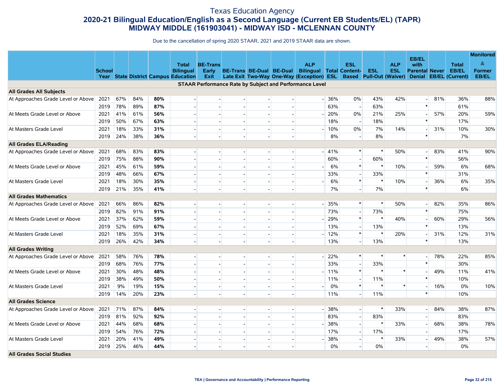# Texas Education Agency **2020-21 Bilingual Education/English as a Second Language (Current EB Students/EL) (TAPR) MIDWAY MIDDLE (161903041) - MIDWAY ISD - MCLENNAN COUNTY**

|                                    |               |     |     |     |                                             |                          |                          |                          |                                                                |         |                          |                                |            |                          |     |                        | <b>Monitored</b> |
|------------------------------------|---------------|-----|-----|-----|---------------------------------------------|--------------------------|--------------------------|--------------------------|----------------------------------------------------------------|---------|--------------------------|--------------------------------|------------|--------------------------|-----|------------------------|------------------|
|                                    |               |     |     |     | <b>Total</b>                                | <b>BE-Trans</b>          |                          |                          | <b>ALP</b>                                                     |         | <b>ESL</b>               |                                | <b>ALP</b> | <b>EB/EL</b><br>with     |     | <b>Total</b>           | $\&$             |
|                                    | <b>School</b> |     |     |     | <b>Bilingual</b>                            | Early                    |                          | BE-Trans BE-Dual BE-Dual | <b>Bilingual Total Content-</b>                                |         |                          | <b>ESL</b>                     | <b>ESL</b> | <b>Parental Never</b>    |     | EB/EL                  | <b>Former</b>    |
|                                    |               |     |     |     | <b>Year State District Campus Education</b> | Exit                     |                          |                          | Late Exit Two-Way One-Way (Exception) ESL                      |         |                          | <b>Based Pull-Out (Waiver)</b> |            | <b>Denial</b>            |     | <b>EB/EL (Current)</b> | <b>EB/EL</b>     |
|                                    |               |     |     |     |                                             |                          |                          |                          | <b>STAAR Performance Rate by Subject and Performance Level</b> |         |                          |                                |            |                          |     |                        |                  |
| <b>All Grades All Subjects</b>     |               |     |     |     |                                             |                          |                          |                          |                                                                |         |                          |                                |            |                          |     |                        |                  |
| At Approaches Grade Level or Above | 2021          | 67% | 84% | 80% | $\blacksquare$                              | $\overline{a}$           |                          |                          |                                                                | $-36%$  | 0%                       | 43%                            | 42%        | $\overline{\phantom{a}}$ | 81% | 36%                    | 88%              |
|                                    | 2019          | 78% | 89% | 87% | $\omega$                                    | $\sim$                   |                          |                          |                                                                | 63%     | $\overline{\phantom{a}}$ | 63%                            |            | $\ast$                   |     | 61%                    |                  |
| At Meets Grade Level or Above      | 2021          | 41% | 61% | 56% | $\overline{\phantom{a}}$                    |                          |                          |                          |                                                                | 20%     | 0%                       | 21%                            | 25%        |                          | 57% | 20%                    | 59%              |
|                                    | 2019          | 50% | 67% | 63% | $\omega$                                    | $\overline{a}$           | $\overline{a}$           |                          |                                                                | 18%     | $\overline{\phantom{a}}$ | 18%                            |            | $\ast$                   |     | 17%                    |                  |
| At Masters Grade Level             | 2021          | 18% | 33% | 31% | $\overline{\phantom{a}}$                    | $\overline{a}$           | $\overline{a}$           |                          |                                                                | $-10%$  | 0%                       | 7%                             | 14%        |                          | 31% | 10%                    | 30%              |
|                                    | 2019          | 24% | 38% | 36% | $\sim$                                      |                          |                          |                          |                                                                | 8%      |                          | 8%                             |            |                          |     | 7%                     |                  |
| <b>All Grades ELA/Reading</b>      |               |     |     |     |                                             |                          |                          |                          |                                                                |         |                          |                                |            |                          |     |                        |                  |
| At Approaches Grade Level or Above | 2021          | 68% | 83% | 83% | $\overline{\phantom{a}}$                    | $\overline{\phantom{a}}$ |                          |                          |                                                                | $-41%$  | $\ast$                   | $\ast$                         | 50%        |                          | 83% | 41%                    | 90%              |
|                                    | 2019          | 75% | 88% | 90% | $\blacksquare$                              |                          |                          |                          |                                                                | 60%     |                          | 60%                            |            | $\ast$                   |     | 56%                    |                  |
| At Meets Grade Level or Above      | 2021          | 45% | 61% | 59% | $\mathbf{r}$                                | ы                        | $\overline{a}$           |                          | $\overline{\phantom{0}}$                                       | 6%      | $\ast$                   | $\ast$                         | 10%        |                          | 59% | 6%                     | 68%              |
|                                    | 2019          | 48% | 66% | 67% | $\overline{\phantom{a}}$                    |                          |                          |                          |                                                                | 33%     | $\overline{\phantom{a}}$ | 33%                            |            |                          |     | 31%                    |                  |
| At Masters Grade Level             | 2021          | 18% | 30% | 35% | $\overline{\phantom{a}}$                    |                          |                          |                          |                                                                | 6%      | $\ast$                   | $\ast$                         | 10%        |                          | 36% | 6%                     | 35%              |
|                                    | 2019          | 21% | 35% | 41% | $\omega$                                    | $\overline{a}$           | $\overline{\phantom{a}}$ |                          |                                                                | 7%      |                          | 7%                             |            | $\ast$                   |     | 6%                     |                  |
| <b>All Grades Mathematics</b>      |               |     |     |     |                                             |                          |                          |                          |                                                                |         |                          |                                |            |                          |     |                        |                  |
| At Approaches Grade Level or Above | 2021          | 66% | 86% | 82% | $\omega$                                    |                          |                          |                          |                                                                | $-35%$  | $\ast$                   | $\ast$                         | 50%        | اء                       | 82% | 35%                    | 86%              |
|                                    | 2019          | 82% | 91% | 91% | $\sim$                                      | $\overline{a}$           |                          |                          |                                                                | 73%     | $\overline{a}$           | 73%                            |            | $\ast$                   |     | 75%                    |                  |
| At Meets Grade Level or Above      | 2021          | 37% | 62% | 59% | $\overline{\phantom{a}}$                    | $\overline{\phantom{a}}$ | $\blacksquare$           |                          |                                                                | 29%     | $\ast$                   | $\ast$                         | 40%        |                          | 60% | 29%                    | 56%              |
|                                    | 2019          | 52% | 69% | 67% | $\omega$                                    |                          |                          |                          |                                                                | 13%     |                          | 13%                            |            |                          |     | 13%                    |                  |
| At Masters Grade Level             | 2021          | 18% | 35% | 31% | $\sim$                                      | $\overline{a}$           | $\sim$                   |                          |                                                                | $-12%$  | $\ast$                   | $\ast$                         | 20%        |                          | 31% | 12%                    | 31%              |
|                                    | 2019          | 26% | 42% | 34% | $\overline{\phantom{a}}$                    |                          |                          |                          |                                                                | 13%     |                          | 13%                            |            |                          |     | 13%                    |                  |
| <b>All Grades Writing</b>          |               |     |     |     |                                             |                          |                          |                          |                                                                |         |                          |                                |            |                          |     |                        |                  |
| At Approaches Grade Level or Above | 2021          | 58% | 76% | 78% | $\omega$                                    | $\sim$                   |                          |                          |                                                                | 22%     | $\ast$                   | $\ast$                         | $\ast$     |                          | 78% | 22%                    | 85%              |
|                                    | 2019          | 68% | 76% | 77% | $\overline{\phantom{a}}$                    | $\overline{\phantom{a}}$ |                          |                          |                                                                | 33%     | $\overline{\phantom{a}}$ | 33%                            |            | $\ast$                   |     | 30%                    |                  |
| At Meets Grade Level or Above      | 2021          | 30% | 48% | 48% | $\mathbb{L}$                                |                          |                          |                          |                                                                | $-11%$  | $\ast$                   |                                | $\ast$     |                          | 49% | 11%                    | 41%              |
|                                    | 2019          | 38% | 49% | 50% | $\sim$                                      | $\sim$                   |                          |                          |                                                                | 11%     | $\overline{\phantom{a}}$ | 11%                            |            | $\ast$                   |     | 10%                    |                  |
| At Masters Grade Level             | 2021          | 9%  | 19% | 15% | $\overline{\phantom{a}}$                    |                          |                          |                          |                                                                | 0%      | *                        |                                | $\ast$     |                          | 16% | 0%                     | 10%              |
|                                    | 2019          | 14% | 20% | 23% | $\overline{\phantom{a}}$                    |                          |                          |                          |                                                                | 11%     |                          | 11%                            |            | $\ast$                   |     | 10%                    |                  |
| <b>All Grades Science</b>          |               |     |     |     |                                             |                          |                          |                          |                                                                |         |                          |                                |            |                          |     |                        |                  |
| At Approaches Grade Level or Above | 2021          | 71% | 87% | 84% | $\overline{\phantom{a}}$                    | $\overline{\phantom{a}}$ |                          |                          |                                                                | $-138%$ | $\overline{\phantom{a}}$ | $\ast$                         | 33%        | $\overline{\phantom{a}}$ | 84% | 38%                    | 87%              |
|                                    | 2019          | 81% | 92% | 92% | $\blacksquare$                              | $\overline{a}$           |                          |                          |                                                                | 83%     |                          | 83%                            |            |                          |     | 83%                    |                  |
| At Meets Grade Level or Above      | 2021          | 44% | 68% | 68% | $\sim$                                      | $\overline{a}$           |                          |                          |                                                                | $-38%$  | $\overline{\phantom{a}}$ | $\ast$                         | 33%        |                          | 68% | 38%                    | 78%              |
|                                    | 2019          | 54% | 76% | 72% | $\overline{\phantom{a}}$                    |                          |                          |                          |                                                                | 17%     |                          | 17%                            |            |                          |     | 17%                    |                  |
| At Masters Grade Level             | 2021          | 20% | 41% | 49% | $\blacksquare$                              | $\bar{a}$                | $\blacksquare$           |                          |                                                                | 38%     |                          |                                | 33%        |                          | 49% | 38%                    | 57%              |
|                                    | 2019          | 25% | 46% | 44% | $\sim$                                      | $\sim$                   |                          |                          |                                                                | 0%      | $\overline{\phantom{a}}$ | $0\%$                          |            |                          |     | $0\%$                  |                  |
| <b>All Grades Social Studies</b>   |               |     |     |     |                                             |                          |                          |                          |                                                                |         |                          |                                |            |                          |     |                        |                  |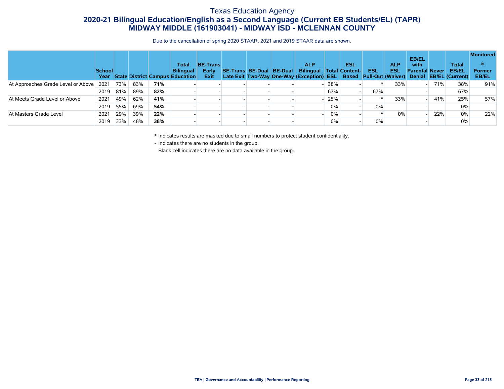# Texas Education Agency **2020-21 Bilingual Education/English as a Second Language (Current EB Students/EL) (TAPR) MIDWAY MIDDLE (161903041) - MIDWAY ISD - MCLENNAN COUNTY**

Due to the cancellation of spring 2020 STAAR, 2021 and 2019 STAAR data are shown.

|                                         | School<br>Year |     |     |     | Total<br><b>Bilingual</b><br><b>State District Campus Education</b> | <b>BE-Trans</b><br>Early<br>Exit | BE-Trans BE-Dual BE-Dual |  | <b>ALP</b><br><b>Bilingual</b><br>Late Exit Two-Way One-Way (Exception) ESL   Based Pull-Out (Waiver) Denial EB/EL (Current) |        | <b>ESL</b><br><b>Total Content-</b> | <b>ESL</b> | <b>ALP</b><br><b>ESL</b> | <b>EB/EL</b><br>with<br><b>Parental Never</b> |     | <b>Total</b><br><b>EB/EL</b> | <b>Monitored</b><br>&<br><b>Former</b><br><b>EB/EL</b> |
|-----------------------------------------|----------------|-----|-----|-----|---------------------------------------------------------------------|----------------------------------|--------------------------|--|------------------------------------------------------------------------------------------------------------------------------|--------|-------------------------------------|------------|--------------------------|-----------------------------------------------|-----|------------------------------|--------------------------------------------------------|
| At Approaches Grade Level or Above 2021 |                | 73% | 83% | 71% |                                                                     |                                  |                          |  |                                                                                                                              | 38%    |                                     |            | 33%                      |                                               | 71% | 38%                          | 91%                                                    |
|                                         | 2019           | 81% | 89% | 82% |                                                                     |                                  |                          |  |                                                                                                                              | 67%    |                                     | 67%        |                          |                                               |     | 67%                          |                                                        |
| At Meets Grade Level or Above           | 2021           | 49% | 62% | 41% |                                                                     |                                  |                          |  |                                                                                                                              | $-25%$ |                                     |            | 33%                      |                                               | 41% | 25%                          | 57%                                                    |
|                                         | 2019           | 55% | 69% | 54% |                                                                     |                                  |                          |  |                                                                                                                              | 0%     |                                     | $0\%$      |                          |                                               |     | 0%                           |                                                        |
| At Masters Grade Level                  | 2021           | 29% | 39% | 22% |                                                                     |                                  |                          |  |                                                                                                                              | 0%     |                                     |            | 0%                       |                                               | 22% | 0%                           | 22%                                                    |
|                                         | 2019           | 33% | 48% | 38% |                                                                     |                                  |                          |  |                                                                                                                              | 0%     |                                     | 0%         |                          |                                               |     | $0\%$                        |                                                        |

\* Indicates results are masked due to small numbers to protect student confidentiality.

- Indicates there are no students in the group.

Blank cell indicates there are no data available in the group.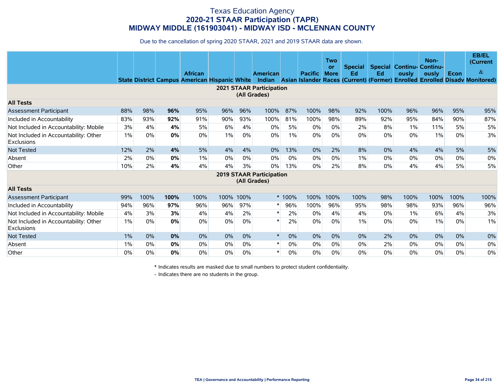Due to the cancellation of spring 2020 STAAR, 2021 and 2019 STAAR data are shown.

|                                                     |       |      |      | <b>African</b> |     |           | American                                        |        | <b>Pacific</b> | <b>Two</b><br>or<br><b>More</b> | <b>Special</b><br>Ed | Ed    | <b>Special Continu- Continu-</b><br>ously | Non-<br>ously | Econ  | <b>EB/EL</b><br>(Current)<br>&<br>State District Campus American Hispanic White Indian Asian Islander Races (Current) (Former) Enrolled Enrolled Disadv Monitored) |
|-----------------------------------------------------|-------|------|------|----------------|-----|-----------|-------------------------------------------------|--------|----------------|---------------------------------|----------------------|-------|-------------------------------------------|---------------|-------|--------------------------------------------------------------------------------------------------------------------------------------------------------------------|
|                                                     |       |      |      |                |     |           | <b>2021 STAAR Participation</b><br>(All Grades) |        |                |                                 |                      |       |                                           |               |       |                                                                                                                                                                    |
| <b>All Tests</b>                                    |       |      |      |                |     |           |                                                 |        |                |                                 |                      |       |                                           |               |       |                                                                                                                                                                    |
| <b>Assessment Participant</b>                       | 88%   | 98%  | 96%  | 95%            | 96% | 96%       | 100%                                            | 87%    | 100%           | 98%                             | 92%                  | 100%  | 96%                                       | 96%           | 95%   | 95%                                                                                                                                                                |
| Included in Accountability                          | 83%   | 93%  | 92%  | 91%            | 90% | 93%       | 100%                                            | 81%    | 100%           | 98%                             | 89%                  | 92%   | 95%                                       | 84%           | 90%   | 87%                                                                                                                                                                |
| Not Included in Accountability: Mobile              | 3%    | 4%   | 4%   | 5%             | 6%  | 4%        | 0%                                              | 5%     | $0\%$          | $0\%$                           | 2%                   | 8%    | 1%                                        | 11%           | 5%    | 5%                                                                                                                                                                 |
| Not Included in Accountability: Other<br>Exclusions | 1%    | 0%   | 0%   | 0%             | 1%  | 0%        | $0\%$                                           | 1%     | $0\%$          | $0\%$                           | $0\%$                | $0\%$ | 0%                                        | $1\%$         | 0%    | 3%                                                                                                                                                                 |
| <b>Not Tested</b>                                   | 12%   | 2%   | 4%   | 5%             | 4%  | 4%        | $0\%$                                           | 13%    | 0%             | 2%                              | 8%                   | 0%    | 4%                                        | 4%            | 5%    | 5%                                                                                                                                                                 |
| Absent                                              | 2%    | 0%   | 0%   | 1%             | 0%  | 0%        | 0%                                              | 0%     | $0\%$          | $0\%$                           | $1\%$                | $0\%$ | 0%                                        | 0%            | 0%    | 0%                                                                                                                                                                 |
| Other                                               | 10%   | 2%   | 4%   | 4%             | 4%  | 3%        | $0\%$                                           | 13%    | $0\%$          | 2%                              | 8%                   | 0%    | 4%                                        | 4%            | 5%    | 5%                                                                                                                                                                 |
|                                                     |       |      |      |                |     |           | <b>2019 STAAR Participation</b><br>(All Grades) |        |                |                                 |                      |       |                                           |               |       |                                                                                                                                                                    |
| <b>All Tests</b>                                    |       |      |      |                |     |           |                                                 |        |                |                                 |                      |       |                                           |               |       |                                                                                                                                                                    |
| <b>Assessment Participant</b>                       | 99%   | 100% | 100% | 100%           |     | 100% 100% |                                                 | * 100% | 100%           | 100%                            | 100%                 | 98%   | 100%                                      | 100%          | 100%  | 100%                                                                                                                                                               |
| Included in Accountability                          | 94%   | 96%  | 97%  | 96%            | 96% | 97%       | $\ast$                                          | 96%    | 100%           | 96%                             | 95%                  | 98%   | 98%                                       | 93%           | 96%   | 96%                                                                                                                                                                |
| Not Included in Accountability: Mobile              | 4%    | 3%   | 3%   | 4%             | 4%  | 2%        |                                                 | 2%     | $0\%$          | 4%                              | 4%                   | 0%    | 1%                                        | 6%            | 4%    | 3%                                                                                                                                                                 |
| Not Included in Accountability: Other<br>Exclusions | $1\%$ | 0%   | 0%   | 0%             | 0%  | 0%        |                                                 | 2%     | $0\%$          | $0\%$                           | $1\%$                | 0%    | 0%                                        | $1\%$         | 0%    | 1%                                                                                                                                                                 |
| <b>Not Tested</b>                                   | $1\%$ | 0%   | 0%   | 0%             | 0%  | 0%        | $\ast$                                          | 0%     | $0\%$          | 0%                              | $0\%$                | 2%    | 0%                                        | 0%            | 0%    | 0%                                                                                                                                                                 |
| Absent                                              | 1%    | 0%   | 0%   | 0%             | 0%  | 0%        | $\ast$                                          | 0%     | 0%             | $0\%$                           | $0\%$                | 2%    | 0%                                        | 0%            | $0\%$ | 0%                                                                                                                                                                 |
| Other                                               | 0%    | 0%   | 0%   | 0%             | 0%  | 0%        | $\ast$                                          | 0%     | $0\%$          | 0%                              | $0\%$                | $0\%$ | 0%                                        | 0%            | 0%    | 0%                                                                                                                                                                 |

\* Indicates results are masked due to small numbers to protect student confidentiality.

- Indicates there are no students in the group.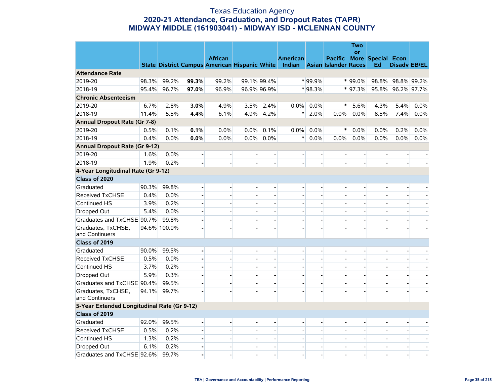#### Texas Education Agency **2020-21 Attendance, Graduation, and Dropout Rates (TAPR) MIDWAY MIDDLE (161903041) - MIDWAY ISD - MCLENNAN COUNTY**

|                                             |       |              |                | <b>African</b>                                                            |                          |                | <b>American</b>          |                          | <b>Pacific</b> | <b>Two</b><br><b>or</b>  | <b>More Special Econ</b> |                     |      |
|---------------------------------------------|-------|--------------|----------------|---------------------------------------------------------------------------|--------------------------|----------------|--------------------------|--------------------------|----------------|--------------------------|--------------------------|---------------------|------|
|                                             |       |              |                | State District Campus American Hispanic White Indian Asian Islander Races |                          |                |                          |                          |                |                          | Ed                       | <b>Disady EB/EL</b> |      |
| <b>Attendance Rate</b>                      |       |              |                |                                                                           |                          |                |                          |                          |                |                          |                          |                     |      |
| 2019-20                                     | 98.3% | 99.2%        | 99.3%          | 99.2%                                                                     |                          | 99.1% 99.4%    |                          | $*99.9%$                 |                | $*99.0\%$                |                          | 98.8% 98.8% 99.2%   |      |
| 2018-19                                     | 95.4% | 96.7%        | 97.0%          | 96.9%                                                                     |                          | 96.9% 96.9%    |                          | $*98.3%$                 |                | $*$ 97.3%                |                          | 95.8% 96.2% 97.7%   |      |
| <b>Chronic Absenteeism</b>                  |       |              |                |                                                                           |                          |                |                          |                          |                |                          |                          |                     |      |
| 2019-20                                     | 6.7%  | 2.8%         | 3.0%           | 4.9%                                                                      | 3.5%                     | 2.4%           | 0.0%                     | 0.0%                     | $\ast$         | 5.6%                     | 4.3%                     | 5.4%                | 0.0% |
| 2018-19                                     | 11.4% | 5.5%         | 4.4%           | 6.1%                                                                      | 4.9%                     | 4.2%           | $\ast$                   | 2.0%                     | 0.0%           | 0.0%                     | 8.5%                     | 7.4%                | 0.0% |
| <b>Annual Dropout Rate (Gr 7-8)</b>         |       |              |                |                                                                           |                          |                |                          |                          |                |                          |                          |                     |      |
| 2019-20                                     | 0.5%  | 0.1%         | 0.1%           | 0.0%                                                                      | 0.0%                     | 0.1%           | 0.0%                     | 0.0%                     | $\ast$         | 0.0%                     | 0.0%                     | 0.2%                | 0.0% |
| 2018-19                                     | 0.4%  | 0.0%         | 0.0%           | 0.0%                                                                      | 0.0%                     | 0.0%           | $\ast$                   | 0.0%                     | $0.0\%$        | 0.0%                     | 0.0%                     | 0.0%                | 0.0% |
| <b>Annual Dropout Rate (Gr 9-12)</b>        |       |              |                |                                                                           |                          |                |                          |                          |                |                          |                          |                     |      |
| 2019-20                                     | 1.6%  | 0.0%         |                |                                                                           | $\overline{\phantom{a}}$ |                |                          |                          |                |                          | $\overline{\phantom{a}}$ |                     |      |
| 2018-19                                     | 1.9%  | 0.2%         |                |                                                                           |                          |                |                          |                          |                |                          |                          |                     |      |
| 4-Year Longitudinal Rate (Gr 9-12)          |       |              |                |                                                                           |                          |                |                          |                          |                |                          |                          |                     |      |
| Class of 2020                               |       |              |                |                                                                           |                          |                |                          |                          |                |                          |                          |                     |      |
| Graduated                                   | 90.3% | 99.8%        | ٠              | $\overline{a}$                                                            | $\overline{\phantom{a}}$ | ٠              | $\overline{\phantom{a}}$ | $\overline{a}$           |                | $\overline{\phantom{a}}$ | $\overline{\phantom{a}}$ |                     |      |
| <b>Received TxCHSE</b>                      | 0.4%  | 0.0%         | ۰              |                                                                           |                          |                |                          |                          |                |                          |                          |                     |      |
| <b>Continued HS</b>                         | 3.9%  | 0.2%         | ä,             |                                                                           | $\blacksquare$           |                |                          |                          |                |                          | $\overline{a}$           |                     |      |
| Dropped Out                                 | 5.4%  | 0.0%         |                |                                                                           | $\overline{a}$           |                |                          |                          |                |                          |                          |                     |      |
| Graduates and TxCHSE 90.7%                  |       | 99.8%        |                |                                                                           | $\overline{a}$           |                |                          |                          |                |                          | $\overline{\phantom{0}}$ |                     |      |
| Graduates, TxCHSE,<br>and Continuers        |       | 94.6% 100.0% |                |                                                                           | $\overline{a}$           |                |                          |                          |                |                          |                          |                     |      |
| Class of 2019                               |       |              |                |                                                                           |                          |                |                          |                          |                |                          |                          |                     |      |
| Graduated                                   | 90.0% | 99.5%        | $\blacksquare$ |                                                                           | $\overline{\phantom{a}}$ | $\overline{a}$ | $\overline{a}$           | $\overline{\phantom{a}}$ |                | $\overline{\phantom{a}}$ | $\overline{\phantom{a}}$ |                     |      |
| <b>Received TxCHSE</b>                      | 0.5%  | 0.0%         |                |                                                                           | $\overline{a}$           |                | $\overline{\phantom{0}}$ |                          |                |                          | $\overline{a}$           |                     |      |
| Continued HS                                | 3.7%  | 0.2%         | ä,             |                                                                           | $\blacksquare$           |                |                          |                          |                |                          | $\overline{a}$           |                     |      |
| Dropped Out                                 | 5.9%  | 0.3%         |                |                                                                           | $\overline{a}$           |                |                          |                          |                |                          | $\overline{\phantom{a}}$ |                     |      |
| Graduates and TxCHSE 90.4%                  |       | 99.5%        |                |                                                                           | $\overline{\phantom{0}}$ |                |                          |                          |                |                          | $\overline{a}$           |                     |      |
| Graduates, TxCHSE,<br>and Continuers        | 94.1% | 99.7%        |                |                                                                           |                          |                |                          |                          |                |                          |                          |                     |      |
| 5-Year Extended Longitudinal Rate (Gr 9-12) |       |              |                |                                                                           |                          |                |                          |                          |                |                          |                          |                     |      |
| Class of 2019                               |       |              |                |                                                                           |                          |                |                          |                          |                |                          |                          |                     |      |
| Graduated                                   | 92.0% | 99.5%        | ÷              |                                                                           | $\blacksquare$           |                | $\frac{1}{2}$            |                          |                | $\overline{a}$           |                          |                     |      |
| <b>Received TxCHSE</b>                      | 0.5%  | 0.2%         |                |                                                                           |                          |                |                          |                          |                |                          |                          |                     |      |
| Continued HS                                | 1.3%  | 0.2%         | ä,             |                                                                           | $\overline{\phantom{a}}$ |                | $\overline{\phantom{0}}$ |                          |                |                          | $\blacksquare$           |                     |      |
| Dropped Out                                 | 6.1%  | 0.2%         |                |                                                                           | $\overline{\phantom{a}}$ |                | $\overline{\phantom{0}}$ | $\overline{\phantom{a}}$ |                |                          | $\blacksquare$           |                     |      |
| Graduates and TxCHSE 92.6%                  |       | 99.7%        |                |                                                                           | $\overline{a}$           |                |                          |                          |                |                          | $\blacksquare$           |                     |      |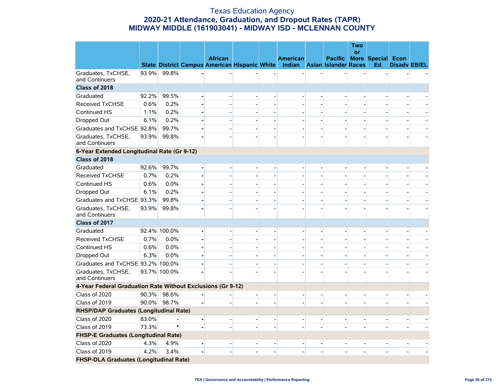## Texas Education Agency **2020-21 Attendance, Graduation, and Dropout Rates (TAPR) MIDWAY MIDDLE (161903041) - MIDWAY ISD - MCLENNAN COUNTY**

|                                                             |       |              |    |                                                                           |                          |                 |                | <b>Two</b><br><b>or</b> |                          |                     |  |
|-------------------------------------------------------------|-------|--------------|----|---------------------------------------------------------------------------|--------------------------|-----------------|----------------|-------------------------|--------------------------|---------------------|--|
|                                                             |       |              |    | <b>African</b>                                                            |                          | <b>American</b> | <b>Pacific</b> |                         | <b>More Special Econ</b> |                     |  |
|                                                             |       |              |    | State District Campus American Hispanic White Indian Asian Islander Races |                          |                 |                |                         | Ed                       | <b>Disady EB/EL</b> |  |
| Graduates, TxCHSE,<br>and Continuers                        | 93.9% | 99.8%        |    |                                                                           |                          |                 |                |                         |                          |                     |  |
| Class of 2018                                               |       |              |    |                                                                           |                          |                 |                |                         |                          |                     |  |
| Graduated                                                   | 92.2% | 99.5%        |    |                                                                           |                          |                 |                |                         |                          |                     |  |
| <b>Received TxCHSE</b>                                      | 0.6%  | 0.2%         |    |                                                                           |                          |                 |                |                         |                          |                     |  |
| Continued HS                                                | 1.1%  | 0.2%         |    |                                                                           |                          |                 |                |                         |                          |                     |  |
| Dropped Out                                                 | 6.1%  | 0.2%         | ä, |                                                                           | $\overline{\phantom{0}}$ |                 |                |                         | $\blacksquare$           |                     |  |
| Graduates and TxCHSE 92.8%                                  |       | 99.7%        |    |                                                                           |                          |                 |                |                         |                          |                     |  |
| Graduates, TxCHSE,<br>and Continuers                        | 93.9% | 99.8%        |    |                                                                           |                          |                 |                |                         |                          |                     |  |
| 6-Year Extended Longitudinal Rate (Gr 9-12)                 |       |              |    |                                                                           |                          |                 |                |                         |                          |                     |  |
| Class of 2018                                               |       |              |    |                                                                           |                          |                 |                |                         |                          |                     |  |
| Graduated                                                   | 92.6% | 99.7%        |    |                                                                           | $\blacksquare$           |                 |                |                         |                          |                     |  |
| <b>Received TxCHSE</b>                                      | 0.7%  | 0.2%         |    |                                                                           |                          |                 |                |                         |                          |                     |  |
| <b>Continued HS</b>                                         | 0.6%  | 0.0%         |    |                                                                           |                          |                 |                |                         |                          |                     |  |
| Dropped Out                                                 | 6.1%  | 0.2%         |    |                                                                           |                          |                 |                |                         |                          |                     |  |
| Graduates and TxCHSE 93.3%                                  |       | 99.8%        |    |                                                                           |                          |                 |                |                         |                          |                     |  |
| Graduates, TxCHSE,<br>and Continuers                        | 93.9% | 99.8%        |    |                                                                           |                          |                 |                |                         |                          |                     |  |
| Class of 2017                                               |       |              |    |                                                                           |                          |                 |                |                         |                          |                     |  |
| Graduated                                                   |       | 92.4% 100.0% |    |                                                                           | $\blacksquare$           |                 |                |                         |                          |                     |  |
| <b>Received TxCHSE</b>                                      | 0.7%  | 0.0%         |    |                                                                           |                          |                 |                |                         |                          |                     |  |
| Continued HS                                                | 0.6%  | 0.0%         |    |                                                                           | $\blacksquare$           |                 |                |                         | $\overline{a}$           |                     |  |
| Dropped Out                                                 | 6.3%  | 0.0%         |    |                                                                           |                          |                 |                |                         |                          |                     |  |
| Graduates and TxCHSE 93.2% 100.0%                           |       |              |    |                                                                           |                          |                 |                |                         |                          |                     |  |
| Graduates, TxCHSE,<br>and Continuers                        |       | 93.7% 100.0% |    |                                                                           |                          |                 |                |                         |                          |                     |  |
| 4-Year Federal Graduation Rate Without Exclusions (Gr 9-12) |       |              |    |                                                                           |                          |                 |                |                         |                          |                     |  |
| Class of 2020                                               |       | 90.3% 98.6%  |    |                                                                           | $\overline{\phantom{a}}$ |                 |                |                         | $\overline{a}$           |                     |  |
| Class of 2019                                               |       | 90.0% 98.7%  |    |                                                                           | $\overline{\phantom{a}}$ |                 |                |                         |                          |                     |  |
| RHSP/DAP Graduates (Longitudinal Rate)                      |       |              |    |                                                                           |                          |                 |                |                         |                          |                     |  |
| Class of 2020                                               | 83.0% |              |    |                                                                           | $\overline{a}$           |                 |                |                         | $\overline{a}$           |                     |  |
| Class of 2019                                               | 73.3% | $\star$      |    |                                                                           |                          |                 |                |                         |                          |                     |  |
| <b>FHSP-E Graduates (Longitudinal Rate)</b>                 |       |              |    |                                                                           |                          |                 |                |                         |                          |                     |  |
| Class of 2020                                               | 4.3%  | 4.9%         |    |                                                                           |                          |                 |                |                         |                          |                     |  |
| Class of 2019                                               | 4.2%  | 3.4%         |    |                                                                           |                          |                 |                |                         |                          |                     |  |
| <b>FHSP-DLA Graduates (Longitudinal Rate)</b>               |       |              |    |                                                                           |                          |                 |                |                         |                          |                     |  |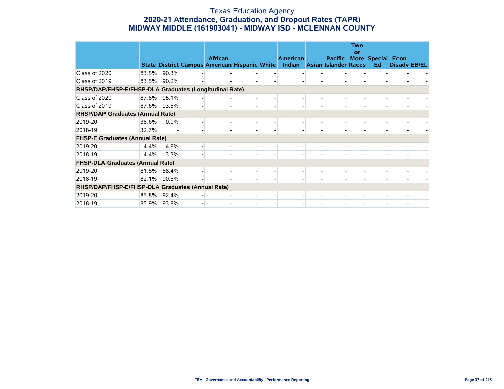## Texas Education Agency **2020-21 Attendance, Graduation, and Dropout Rates (TAPR) MIDWAY MIDDLE (161903041) - MIDWAY ISD - MCLENNAN COUNTY**

|                                                        |       |             |                                                                        |                          |                           |                                               | <b>Two</b><br>or |                                |                     |  |
|--------------------------------------------------------|-------|-------------|------------------------------------------------------------------------|--------------------------|---------------------------|-----------------------------------------------|------------------|--------------------------------|---------------------|--|
|                                                        |       |             | <b>African</b><br><b>State District Campus American Hispanic White</b> |                          | <b>American</b><br>Indian | <b>Pacific</b><br><b>Asian Islander Races</b> |                  | <b>More Special Econ</b><br>Ed | <b>Disady EB/EL</b> |  |
| Class of 2020                                          | 83.5% | 90.3%       |                                                                        |                          |                           |                                               |                  |                                |                     |  |
| Class of 2019                                          | 83.5% | 90.2%       |                                                                        |                          |                           |                                               |                  |                                |                     |  |
| RHSP/DAP/FHSP-E/FHSP-DLA Graduates (Longitudinal Rate) |       |             |                                                                        |                          |                           |                                               |                  |                                |                     |  |
| Class of 2020                                          | 87.8% | 95.1%       |                                                                        |                          |                           |                                               |                  |                                |                     |  |
| Class of 2019                                          | 87.6% | 93.5%       |                                                                        | $\overline{\phantom{0}}$ |                           |                                               |                  |                                |                     |  |
| <b>RHSP/DAP Graduates (Annual Rate)</b>                |       |             |                                                                        |                          |                           |                                               |                  |                                |                     |  |
| 2019-20                                                | 38.6% | 0.0%        |                                                                        |                          |                           |                                               |                  |                                |                     |  |
| 2018-19                                                | 32.7% |             |                                                                        | $\overline{\phantom{a}}$ |                           |                                               |                  |                                |                     |  |
| <b>FHSP-E Graduates (Annual Rate)</b>                  |       |             |                                                                        |                          |                           |                                               |                  |                                |                     |  |
| 2019-20                                                | 4.4%  | 4.8%        |                                                                        |                          |                           |                                               |                  |                                |                     |  |
| 2018-19                                                | 4.4%  | 3.3%        |                                                                        | -                        |                           |                                               |                  |                                |                     |  |
| FHSP-DLA Graduates (Annual Rate)                       |       |             |                                                                        |                          |                           |                                               |                  |                                |                     |  |
| 2019-20                                                | 81.8% | 88.4%       |                                                                        |                          |                           |                                               |                  |                                |                     |  |
| 2018-19                                                | 82.1% | 90.5%       |                                                                        |                          |                           |                                               |                  |                                |                     |  |
| RHSP/DAP/FHSP-E/FHSP-DLA Graduates (Annual Rate)       |       |             |                                                                        |                          |                           |                                               |                  |                                |                     |  |
| 2019-20                                                | 85.8% | 92.4%       |                                                                        |                          |                           |                                               |                  |                                |                     |  |
| 2018-19                                                |       | 85.9% 93.8% |                                                                        |                          |                           |                                               |                  |                                |                     |  |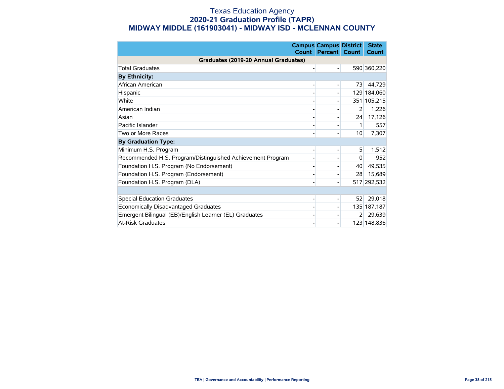### Texas Education Agency **2020-21 Graduation Profile (TAPR) MIDWAY MIDDLE (161903041) - MIDWAY ISD - MCLENNAN COUNTY**

|                                                            | Count | <b>Campus Campus District</b><br><b>Percent</b> | <b>Count</b>   | <b>State</b><br><b>Count</b> |
|------------------------------------------------------------|-------|-------------------------------------------------|----------------|------------------------------|
| Graduates (2019-20 Annual Graduates)                       |       |                                                 |                |                              |
| <b>Total Graduates</b>                                     |       |                                                 |                | 590 360,220                  |
| <b>By Ethnicity:</b>                                       |       |                                                 |                |                              |
| African American                                           |       |                                                 | 73             | 44,729                       |
| Hispanic                                                   |       |                                                 |                | 129 184,060                  |
| White                                                      |       |                                                 | 351            | 105,215                      |
| American Indian                                            |       |                                                 | 2              | 1,226                        |
| Asian                                                      |       |                                                 | 24             | 17,126                       |
| Pacific Islander                                           |       |                                                 | 1              | 557                          |
| Two or More Races                                          |       |                                                 | 10             | 7,307                        |
| <b>By Graduation Type:</b>                                 |       |                                                 |                |                              |
| Minimum H.S. Program                                       |       |                                                 | 5              | 1,512                        |
| Recommended H.S. Program/Distinguished Achievement Program |       |                                                 | 0              | 952                          |
| Foundation H.S. Program (No Endorsement)                   |       |                                                 | 40             | 49,535                       |
| Foundation H.S. Program (Endorsement)                      |       |                                                 | 28             | 15,689                       |
| Foundation H.S. Program (DLA)                              |       |                                                 |                | 517 292,532                  |
|                                                            |       |                                                 |                |                              |
| <b>Special Education Graduates</b>                         |       |                                                 | 52             | 29,018                       |
| Economically Disadvantaged Graduates                       |       |                                                 |                | 135 187,187                  |
| Emergent Bilingual (EB)/English Learner (EL) Graduates     |       |                                                 | $\overline{2}$ | 29,639                       |
| <b>At-Risk Graduates</b>                                   |       |                                                 |                | 123 148,836                  |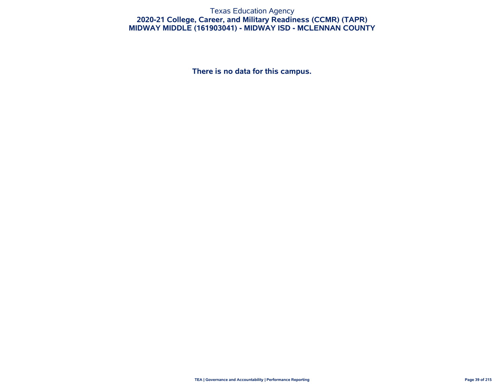## Texas Education Agency **2020-21 College, Career, and Military Readiness (CCMR) (TAPR) MIDWAY MIDDLE (161903041) - MIDWAY ISD - MCLENNAN COUNTY**

**There is no data for this campus.**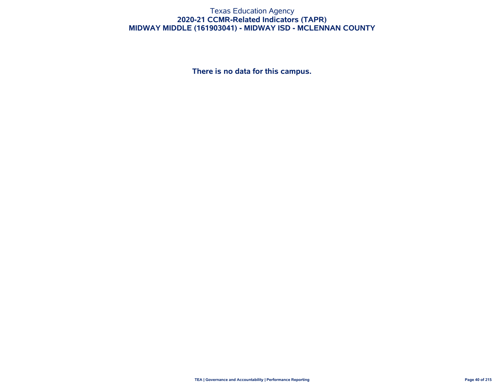### Texas Education Agency **2020-21 CCMR-Related Indicators (TAPR) MIDWAY MIDDLE (161903041) - MIDWAY ISD - MCLENNAN COUNTY**

**There is no data for this campus.**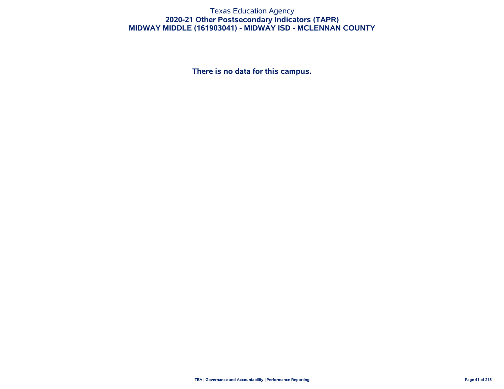## Texas Education Agency **2020-21 Other Postsecondary Indicators (TAPR) MIDWAY MIDDLE (161903041) - MIDWAY ISD - MCLENNAN COUNTY**

**There is no data for this campus.**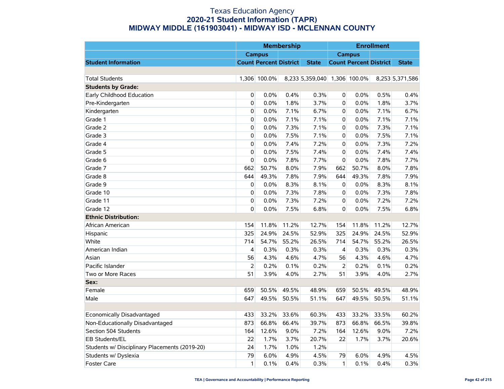|                                               |                | <b>Membership</b>             |       |                              | <b>Enrollment</b> |                               |       |                 |
|-----------------------------------------------|----------------|-------------------------------|-------|------------------------------|-------------------|-------------------------------|-------|-----------------|
|                                               |                | <b>Campus</b>                 |       |                              |                   | <b>Campus</b>                 |       |                 |
| <b>Student Information</b>                    |                | <b>Count Percent District</b> |       | <b>State</b>                 |                   | <b>Count Percent District</b> |       | <b>State</b>    |
|                                               |                |                               |       |                              |                   |                               |       |                 |
| <b>Total Students</b>                         |                | 1,306 100.0%                  |       | 8,233 5,359,040 1,306 100.0% |                   |                               |       | 8,253 5,371,586 |
| <b>Students by Grade:</b>                     |                |                               |       |                              |                   |                               |       |                 |
| Early Childhood Education                     | 0              | 0.0%                          | 0.4%  | 0.3%                         | 0                 | 0.0%                          | 0.5%  | 0.4%            |
| Pre-Kindergarten                              | $\mathbf 0$    | 0.0%                          | 1.8%  | 3.7%                         | 0                 | 0.0%                          | 1.8%  | 3.7%            |
| Kindergarten                                  | 0              | 0.0%                          | 7.1%  | 6.7%                         | 0                 | 0.0%                          | 7.1%  | 6.7%            |
| Grade 1                                       | 0              | 0.0%                          | 7.1%  | 7.1%                         | 0                 | 0.0%                          | 7.1%  | 7.1%            |
| Grade 2                                       | 0              | 0.0%                          | 7.3%  | 7.1%                         | 0                 | 0.0%                          | 7.3%  | 7.1%            |
| Grade 3                                       | $\mathbf 0$    | 0.0%                          | 7.5%  | 7.1%                         | 0                 | 0.0%                          | 7.5%  | 7.1%            |
| Grade 4                                       | $\mathbf 0$    | 0.0%                          | 7.4%  | 7.2%                         | 0                 | 0.0%                          | 7.3%  | 7.2%            |
| Grade 5                                       | $\Omega$       | 0.0%                          | 7.5%  | 7.4%                         | 0                 | 0.0%                          | 7.4%  | 7.4%            |
| Grade 6                                       | 0              | 0.0%                          | 7.8%  | 7.7%                         | 0                 | 0.0%                          | 7.8%  | 7.7%            |
| Grade 7                                       | 662            | 50.7%                         | 8.0%  | 7.9%                         | 662               | 50.7%                         | 8.0%  | 7.8%            |
| Grade 8                                       | 644            | 49.3%                         | 7.8%  | 7.9%                         | 644               | 49.3%                         | 7.8%  | 7.9%            |
| Grade 9                                       | 0              | 0.0%                          | 8.3%  | 8.1%                         | 0                 | 0.0%                          | 8.3%  | 8.1%            |
| Grade 10                                      | 0              | 0.0%                          | 7.3%  | 7.8%                         | 0                 | 0.0%                          | 7.3%  | 7.8%            |
| Grade 11                                      | $\mathbf 0$    | 0.0%                          | 7.3%  | 7.2%                         | 0                 | 0.0%                          | 7.2%  | 7.2%            |
| Grade 12                                      | 0              | 0.0%                          | 7.5%  | 6.8%                         | $\mathbf 0$       | 0.0%                          | 7.5%  | 6.8%            |
| <b>Ethnic Distribution:</b>                   |                |                               |       |                              |                   |                               |       |                 |
| African American                              | 154            | 11.8%                         | 11.2% | 12.7%                        | 154               | 11.8%                         | 11.2% | 12.7%           |
| Hispanic                                      | 325            | 24.9%                         | 24.5% | 52.9%                        | 325               | 24.9%                         | 24.5% | 52.9%           |
| White                                         | 714            | 54.7%                         | 55.2% | 26.5%                        | 714               | 54.7%                         | 55.2% | 26.5%           |
| American Indian                               | $\overline{4}$ | 0.3%                          | 0.3%  | 0.3%                         | 4                 | 0.3%                          | 0.3%  | 0.3%            |
| Asian                                         | 56             | 4.3%                          | 4.6%  | 4.7%                         | 56                | 4.3%                          | 4.6%  | 4.7%            |
| Pacific Islander                              | $\overline{2}$ | 0.2%                          | 0.1%  | 0.2%                         | $\overline{2}$    | 0.2%                          | 0.1%  | 0.2%            |
| Two or More Races                             | 51             | 3.9%                          | 4.0%  | 2.7%                         | 51                | 3.9%                          | 4.0%  | 2.7%            |
| Sex:                                          |                |                               |       |                              |                   |                               |       |                 |
| Female                                        | 659            | 50.5%                         | 49.5% | 48.9%                        | 659               | 50.5%                         | 49.5% | 48.9%           |
| Male                                          | 647            | 49.5%                         | 50.5% | 51.1%                        | 647               | 49.5%                         | 50.5% | 51.1%           |
|                                               |                |                               |       |                              |                   |                               |       |                 |
| Economically Disadvantaged                    | 433            | 33.2%                         | 33.6% | 60.3%                        | 433               | 33.2%                         | 33.5% | 60.2%           |
| Non-Educationally Disadvantaged               | 873            | 66.8%                         | 66.4% | 39.7%                        | 873               | 66.8%                         | 66.5% | 39.8%           |
| Section 504 Students                          | 164            | 12.6%                         | 9.0%  | 7.2%                         | 164               | 12.6%                         | 9.0%  | 7.2%            |
| <b>EB Students/EL</b>                         | 22             | 1.7%                          | 3.7%  | 20.7%                        | 22                | 1.7%                          | 3.7%  | 20.6%           |
| Students w/ Disciplinary Placements (2019-20) | 24             | 1.7%                          | 1.0%  | 1.2%                         |                   |                               |       |                 |
| Students w/ Dyslexia                          | 79             | 6.0%                          | 4.9%  | 4.5%                         | 79                | 6.0%                          | 4.9%  | 4.5%            |
| <b>Foster Care</b>                            | $\mathbf{1}$   | 0.1%                          | 0.4%  | 0.3%                         | 1                 | 0.1%                          | 0.4%  | 0.3%            |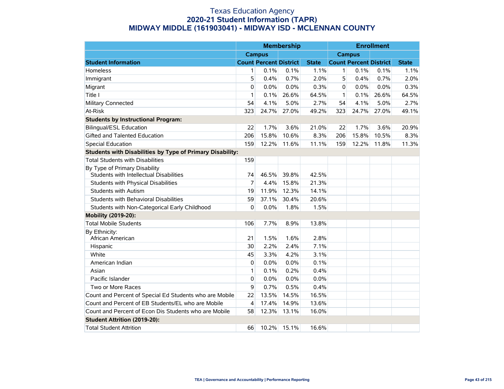|                                                                          | <b>Membership</b> |                               |       | <b>Enrollment</b> |     |                               |       |              |
|--------------------------------------------------------------------------|-------------------|-------------------------------|-------|-------------------|-----|-------------------------------|-------|--------------|
|                                                                          |                   | <b>Campus</b>                 |       |                   |     | <b>Campus</b>                 |       |              |
| <b>Student Information</b>                                               |                   | <b>Count Percent District</b> |       | <b>State</b>      |     | <b>Count Percent District</b> |       | <b>State</b> |
| <b>Homeless</b>                                                          | 1                 | 0.1%                          | 0.1%  | 1.1%              | 1   | 0.1%                          | 0.1%  | 1.1%         |
| Immigrant                                                                | 5                 | 0.4%                          | 0.7%  | 2.0%              | 5   | 0.4%                          | 0.7%  | 2.0%         |
| Migrant                                                                  | 0                 | 0.0%                          | 0.0%  | 0.3%              | 0   | 0.0%                          | 0.0%  | 0.3%         |
| Title I                                                                  | 1                 | 0.1%                          | 26.6% | 64.5%             | 1   | 0.1%                          | 26.6% | 64.5%        |
| <b>Military Connected</b>                                                | 54                | 4.1%                          | 5.0%  | 2.7%              | 54  | 4.1%                          | 5.0%  | 2.7%         |
| At-Risk                                                                  | 323               | 24.7%                         | 27.0% | 49.2%             | 323 | 24.7%                         | 27.0% | 49.1%        |
| <b>Students by Instructional Program:</b>                                |                   |                               |       |                   |     |                               |       |              |
| <b>Bilingual/ESL Education</b>                                           | 22                | 1.7%                          | 3.6%  | 21.0%             | 22  | 1.7%                          | 3.6%  | 20.9%        |
| Gifted and Talented Education                                            | 206               | 15.8%                         | 10.6% | 8.3%              | 206 | 15.8%                         | 10.5% | 8.3%         |
| <b>Special Education</b>                                                 | 159               | 12.2%                         | 11.6% | 11.1%             | 159 | 12.2%                         | 11.8% | 11.3%        |
| Students with Disabilities by Type of Primary Disability:                |                   |                               |       |                   |     |                               |       |              |
| <b>Total Students with Disabilities</b>                                  | 159               |                               |       |                   |     |                               |       |              |
| By Type of Primary Disability<br>Students with Intellectual Disabilities | 74                | 46.5%                         | 39.8% | 42.5%             |     |                               |       |              |
| Students with Physical Disabilities                                      | 7                 | 4.4%                          | 15.8% | 21.3%             |     |                               |       |              |
| <b>Students with Autism</b>                                              | 19                | 11.9%                         | 12.3% | 14.1%             |     |                               |       |              |
| Students with Behavioral Disabilities                                    | 59                | 37.1%                         | 30.4% | 20.6%             |     |                               |       |              |
| Students with Non-Categorical Early Childhood                            | 0                 | 0.0%                          | 1.8%  | 1.5%              |     |                               |       |              |
| Mobility (2019-20):                                                      |                   |                               |       |                   |     |                               |       |              |
| <b>Total Mobile Students</b>                                             | 106               | 7.7%                          | 8.9%  | 13.8%             |     |                               |       |              |
| By Ethnicity:<br>African American                                        | 21                | 1.5%                          | 1.6%  | 2.8%              |     |                               |       |              |
| Hispanic                                                                 | 30                | 2.2%                          | 2.4%  | 7.1%              |     |                               |       |              |
| White                                                                    | 45                | 3.3%                          | 4.2%  | 3.1%              |     |                               |       |              |
| American Indian                                                          | 0                 | 0.0%                          | 0.0%  | 0.1%              |     |                               |       |              |
| Asian                                                                    | 1                 | 0.1%                          | 0.2%  | 0.4%              |     |                               |       |              |
| Pacific Islander                                                         | 0                 | 0.0%                          | 0.0%  | 0.0%              |     |                               |       |              |
| Two or More Races                                                        | 9                 | 0.7%                          | 0.5%  | 0.4%              |     |                               |       |              |
| Count and Percent of Special Ed Students who are Mobile                  | 22                | 13.5%                         | 14.5% | 16.5%             |     |                               |       |              |
| Count and Percent of EB Students/EL who are Mobile                       | 4                 | 17.4%                         | 14.9% | 13.6%             |     |                               |       |              |
| Count and Percent of Econ Dis Students who are Mobile                    | 58                | 12.3%                         | 13.1% | 16.0%             |     |                               |       |              |
| Student Attrition (2019-20):                                             |                   |                               |       |                   |     |                               |       |              |
| <b>Total Student Attrition</b>                                           | 66                | 10.2%                         | 15.1% | 16.6%             |     |                               |       |              |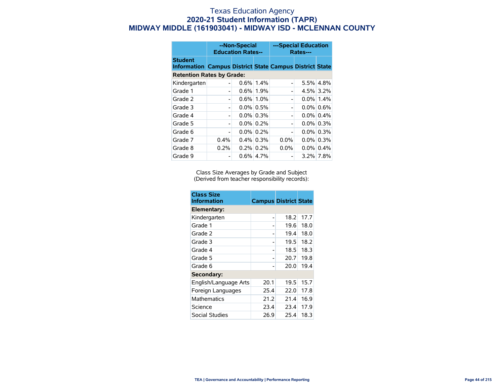|                                                                                  | --Non-Special<br><b>Education Rates--</b> |         |              | ---Special Education<br>Rates--- |  |              |  |
|----------------------------------------------------------------------------------|-------------------------------------------|---------|--------------|----------------------------------|--|--------------|--|
| <b>Student</b><br><b>Information Campus District State Campus District State</b> |                                           |         |              |                                  |  |              |  |
| <b>Retention Rates by Grade:</b>                                                 |                                           |         |              |                                  |  |              |  |
| Kindergarten                                                                     |                                           | 0.6%    | 1.4%         |                                  |  | 5.5% 4.8%    |  |
| Grade 1                                                                          |                                           |         | $0.6\%$ 1.9% | -                                |  | 4.5% 3.2%    |  |
| Grade 2                                                                          |                                           | $0.6\%$ | 1.0%         | $\overline{a}$                   |  | $0.0\%$ 1.4% |  |
| Grade 3                                                                          |                                           |         | $0.0\%$ 0.5% | $\overline{\phantom{0}}$         |  | $0.0\%$ 0.6% |  |
| Grade 4                                                                          |                                           |         | $0.0\%$ 0.3% | $\overline{\phantom{0}}$         |  | $0.0\%$ 0.4% |  |
| Grade 5                                                                          |                                           |         | $0.0\%$ 0.2% | $\overline{\phantom{0}}$         |  | $0.0\%$ 0.3% |  |
| Grade 6                                                                          |                                           |         | $0.0\%$ 0.2% |                                  |  | $0.0\%$ 0.3% |  |
| Grade 7                                                                          | 0.4%                                      |         | $0.4\%$ 0.3% | $0.0\%$                          |  | $0.0\%$ 0.3% |  |
| Grade 8                                                                          | 0.2%                                      |         | $0.2\%$ 0.2% | $0.0\%$                          |  | $0.0\%$ 0.4% |  |
| Grade 9                                                                          |                                           |         | $0.6\%$ 4.7% |                                  |  | 3.2% 7.8%    |  |

Class Size Averages by Grade and Subject (Derived from teacher responsibility records):

| <b>Class Size</b><br><b>Information</b> | <b>Campus District State</b> |      |      |
|-----------------------------------------|------------------------------|------|------|
| Elementary:                             |                              |      |      |
| Kindergarten                            |                              | 18.2 | 17.7 |
| Grade 1                                 |                              | 19.6 | 18.0 |
| Grade 2                                 |                              | 19.4 | 18.0 |
| Grade 3                                 |                              | 19.5 | 18.2 |
| Grade 4                                 |                              | 18.5 | 18.3 |
| Grade 5                                 |                              | 20.7 | 19.8 |
| Grade 6                                 |                              | 20.0 | 19.4 |
| Secondary:                              |                              |      |      |
| English/Language Arts                   | 20.1                         | 19.5 | 15.7 |
| Foreign Languages                       | 25.4                         | 22.0 | 17.8 |
| <b>Mathematics</b>                      | 21.2                         | 21.4 | 16.9 |
| Science                                 | 23.4                         | 23.4 | 17.9 |
| Social Studies                          | 26.9                         | 25.4 | 18.3 |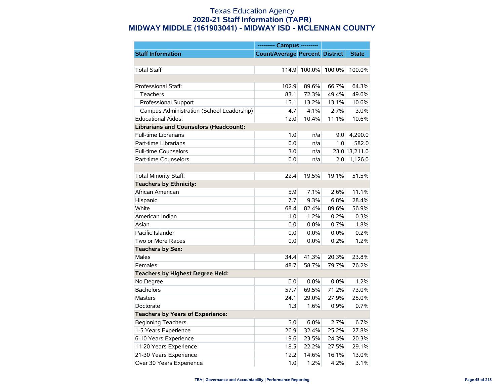|                                               | --------- Campus ---------            |        |        |               |
|-----------------------------------------------|---------------------------------------|--------|--------|---------------|
| <b>Staff Information</b>                      | <b>Count/Average Percent District</b> |        |        | <b>State</b>  |
|                                               |                                       |        |        |               |
| <b>Total Staff</b>                            | 114.9                                 | 100.0% | 100.0% | 100.0%        |
|                                               |                                       |        |        |               |
| Professional Staff:                           | 102.9                                 | 89.6%  | 66.7%  | 64.3%         |
| <b>Teachers</b>                               | 83.1                                  | 72.3%  | 49.4%  | 49.6%         |
| Professional Support                          | 15.1                                  | 13.2%  | 13.1%  | 10.6%         |
| Campus Administration (School Leadership)     | 4.7                                   | 4.1%   | 2.7%   | 3.0%          |
| <b>Educational Aides:</b>                     | 12.0                                  | 10.4%  | 11.1%  | 10.6%         |
| <b>Librarians and Counselors (Headcount):</b> |                                       |        |        |               |
| <b>Full-time Librarians</b>                   | 1.0                                   | n/a    | 9.0    | 4,290.0       |
| Part-time Librarians                          | 0.0                                   | n/a    | 1.0    | 582.0         |
| <b>Full-time Counselors</b>                   | 3.0                                   | n/a    |        | 23.0 13,211.0 |
| Part-time Counselors                          | 0.0                                   | n/a    | 2.0    | 1,126.0       |
|                                               |                                       |        |        |               |
| <b>Total Minority Staff:</b>                  | 22.4                                  | 19.5%  | 19.1%  | 51.5%         |
| <b>Teachers by Ethnicity:</b>                 |                                       |        |        |               |
| African American                              | 5.9                                   | 7.1%   | 2.6%   | 11.1%         |
| Hispanic                                      | 7.7                                   | 9.3%   | 6.8%   | 28.4%         |
| White                                         | 68.4                                  | 82.4%  | 89.6%  | 56.9%         |
| American Indian                               | 1.0                                   | 1.2%   | 0.2%   | 0.3%          |
| Asian                                         | 0.0                                   | 0.0%   | 0.7%   | 1.8%          |
| Pacific Islander                              | 0.0                                   | 0.0%   | 0.0%   | 0.2%          |
| Two or More Races                             | 0.0                                   | 0.0%   | 0.2%   | 1.2%          |
| <b>Teachers by Sex:</b>                       |                                       |        |        |               |
| <b>Males</b>                                  | 34.4                                  | 41.3%  | 20.3%  | 23.8%         |
| Females                                       | 48.7                                  | 58.7%  | 79.7%  | 76.2%         |
| <b>Teachers by Highest Degree Held:</b>       |                                       |        |        |               |
| No Degree                                     | 0.0                                   | 0.0%   | 0.0%   | 1.2%          |
| <b>Bachelors</b>                              | 57.7                                  | 69.5%  | 71.2%  | 73.0%         |
| <b>Masters</b>                                | 24.1                                  | 29.0%  | 27.9%  | 25.0%         |
| Doctorate                                     | 1.3                                   | 1.6%   | 0.9%   | 0.7%          |
| <b>Teachers by Years of Experience:</b>       |                                       |        |        |               |
| <b>Beginning Teachers</b>                     | 5.0                                   | 6.0%   | 2.7%   | 6.7%          |
| 1-5 Years Experience                          | 26.9                                  | 32.4%  | 25.2%  | 27.8%         |
| 6-10 Years Experience                         | 19.6                                  | 23.5%  | 24.3%  | 20.3%         |
| 11-20 Years Experience                        | 18.5                                  | 22.2%  | 27.5%  | 29.1%         |
| 21-30 Years Experience                        | 12.2                                  | 14.6%  | 16.1%  | 13.0%         |
| Over 30 Years Experience                      | 1.0                                   | 1.2%   | 4.2%   | 3.1%          |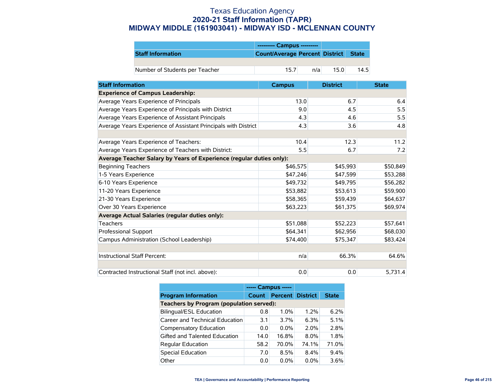|                                | --------- Campus ---------           |             |      |
|--------------------------------|--------------------------------------|-------------|------|
| <b>Staff Information</b>       | Count/Average Percent District State |             |      |
|                                |                                      |             |      |
| Number of Students per Teacher | 15.7                                 | 15 O<br>n/a | 14.5 |

| <b>Staff Information</b>                                             | <b>Campus</b> | <b>District</b> | <b>State</b> |
|----------------------------------------------------------------------|---------------|-----------------|--------------|
| <b>Experience of Campus Leadership:</b>                              |               |                 |              |
| Average Years Experience of Principals                               | 13.0          | 6.7             | 6.4          |
| Average Years Experience of Principals with District                 | 9.0           | 4.5             | 5.5          |
| Average Years Experience of Assistant Principals                     | 4.3           | 4.6             | 5.5          |
| Average Years Experience of Assistant Principals with District       | 4.3           | 3.6             | 4.8          |
|                                                                      |               |                 |              |
| Average Years Experience of Teachers:                                | 10.4          | 12.3            | 11.2         |
| Average Years Experience of Teachers with District:                  | 5.5           | 6.7             | 7.2          |
| Average Teacher Salary by Years of Experience (regular duties only): |               |                 |              |
| <b>Beginning Teachers</b>                                            | \$46,575      | \$45,993        | \$50,849     |
| 1-5 Years Experience                                                 | \$47,246      | \$47,599        | \$53,288     |
| 6-10 Years Experience                                                | \$49,732      | \$49,795        | \$56,282     |
| 11-20 Years Experience                                               | \$53,882      | \$53,613        | \$59,900     |
| 21-30 Years Experience                                               | \$58,365      | \$59,439        | \$64,637     |
| Over 30 Years Experience                                             | \$63,223      | \$61,375        | \$69,974     |
| Average Actual Salaries (regular duties only):                       |               |                 |              |
| <b>Teachers</b>                                                      | \$51,088      | \$52,223        | \$57,641     |
| Professional Support                                                 | \$64,341      | \$62,956        | \$68,030     |
| Campus Administration (School Leadership)                            | \$74,400      | \$75,347        | \$83,424     |
|                                                                      |               |                 |              |
| Instructional Staff Percent:                                         | n/a           | 66.3%           | 64.6%        |
|                                                                      |               |                 |              |
| Contracted Instructional Staff (not incl. above):                    | 0.0           | 0.0             | 5,731.4      |

|                                          | ----- Campus ----- |                         |         |              |  |  |
|------------------------------------------|--------------------|-------------------------|---------|--------------|--|--|
| <b>Program Information</b>               | <b>Count</b>       | <b>Percent District</b> |         | <b>State</b> |  |  |
| Teachers by Program (population served): |                    |                         |         |              |  |  |
| <b>Bilingual/ESL Education</b>           | 0.8                | $1.0\%$                 | 1.2%    | 6.2%         |  |  |
| Career and Technical Education           | 3.1                | 3.7%                    | 6.3%    | 5.1%         |  |  |
| Compensatory Education                   | 0.0                | $0.0\%$                 | $2.0\%$ | 2.8%         |  |  |
| Gifted and Talented Education            | 14.0               | 16.8%                   | 8.0%    | 1.8%         |  |  |
| <b>Regular Education</b>                 | 58.2               | 70.0%                   | 74.1%   | 71.0%        |  |  |
| <b>Special Education</b>                 | 7.0                | 8.5%                    | $8.4\%$ | 9.4%         |  |  |
| Other                                    | 0.0                | $0.0\%$                 | $0.0\%$ | 3.6%         |  |  |